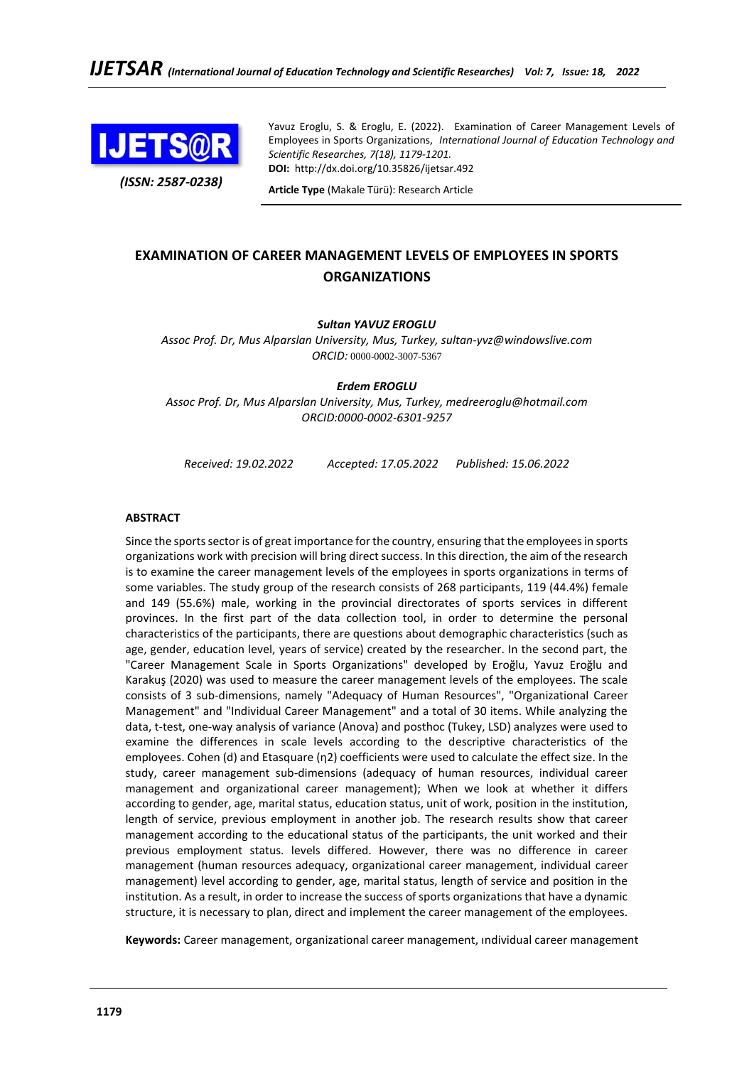

*(ISSN: 2587-0238)*

Yavuz Eroglu, S. & Eroglu, E. (2022). Examination of Career Management Levels of Employees in Sports Organizations, *International Journal of Education Technology and Scientific Researches, 7(18), 1179-1201.* **DOI:** http://dx.doi.org/10.35826/ijetsar.492

**Article Type** (Makale Türü): Research Article

# **EXAMINATION OF CAREER MANAGEMENT LEVELS OF EMPLOYEES IN SPORTS ORGANIZATIONS**

## *Sultan YAVUZ EROGLU*

*Assoc Prof. Dr, Mus Alparslan University, Mus, Turkey, sultan-yvz@windowslive.com ORCID:* 0000-0002-3007-5367

*Erdem EROGLU*

*Assoc Prof. Dr, Mus Alparslan University, Mus, Turkey, medreeroglu@hotmail.com ORCID:0000-0002-6301-9257*

*Received: 19.02.2022 Accepted: 17.05.2022 Published: 15.06.2022*

### **ABSTRACT**

Since the sports sector is of great importance for the country, ensuring that the employees in sports organizations work with precision will bring direct success. In this direction, the aim of the research is to examine the career management levels of the employees in sports organizations in terms of some variables. The study group of the research consists of 268 participants, 119 (44.4%) female and 149 (55.6%) male, working in the provincial directorates of sports services in different provinces. In the first part of the data collection tool, in order to determine the personal characteristics of the participants, there are questions about demographic characteristics (such as age, gender, education level, years of service) created by the researcher. In the second part, the "Career Management Scale in Sports Organizations" developed by Eroğlu, Yavuz Eroğlu and Karakuş (2020) was used to measure the career management levels of the employees. The scale consists of 3 sub-dimensions, namely "Adequacy of Human Resources", "Organizational Career Management" and "Individual Career Management" and a total of 30 items. While analyzing the data, t-test, one-way analysis of variance (Anova) and posthoc (Tukey, LSD) analyzes were used to examine the differences in scale levels according to the descriptive characteristics of the employees. Cohen (d) and Etasquare (η2) coefficients were used to calculate the effect size. In the study, career management sub-dimensions (adequacy of human resources, individual career management and organizational career management); When we look at whether it differs according to gender, age, marital status, education status, unit of work, position in the institution, length of service, previous employment in another job. The research results show that career management according to the educational status of the participants, the unit worked and their previous employment status. levels differed. However, there was no difference in career management (human resources adequacy, organizational career management, individual career management) level according to gender, age, marital status, length of service and position in the institution. As a result, in order to increase the success of sports organizations that have a dynamic structure, it is necessary to plan, direct and implement the career management of the employees.

**Keywords:** Career management, organizational career management, ındividual career management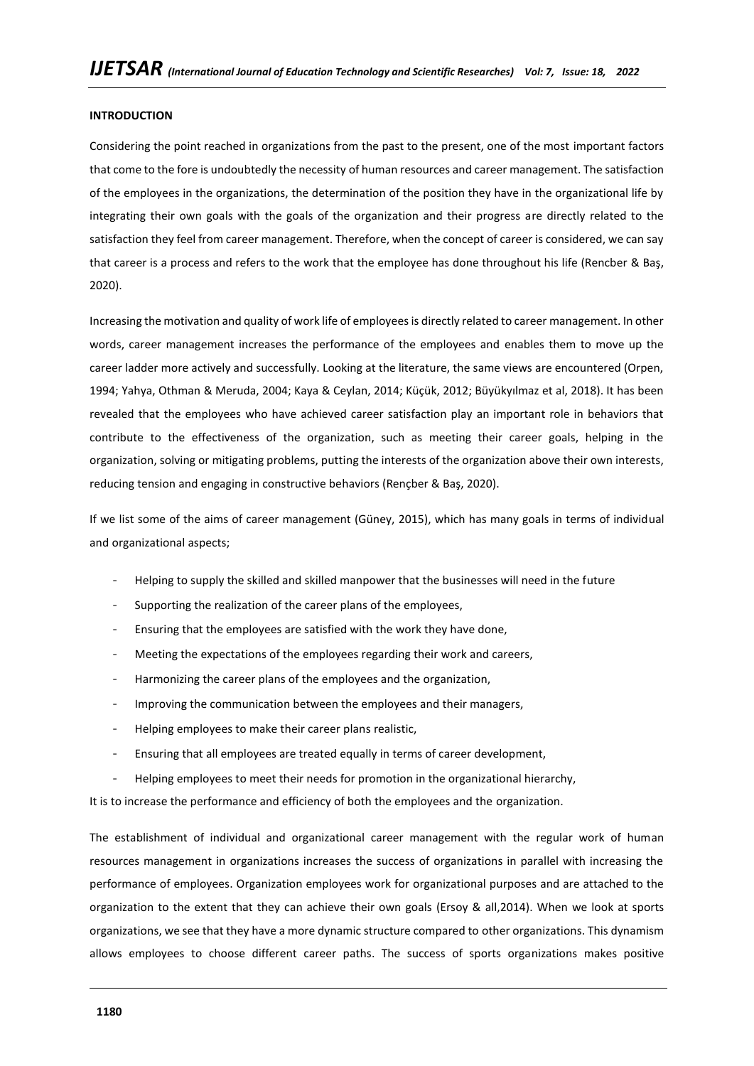### **INTRODUCTION**

Considering the point reached in organizations from the past to the present, one of the most important factors that come to the fore is undoubtedly the necessity of human resources and career management. The satisfaction of the employees in the organizations, the determination of the position they have in the organizational life by integrating their own goals with the goals of the organization and their progress are directly related to the satisfaction they feel from career management. Therefore, when the concept of career is considered, we can say that career is a process and refers to the work that the employee has done throughout his life (Rencber & Baş, 2020).

Increasing the motivation and quality of work life of employees is directly related to career management. In other words, career management increases the performance of the employees and enables them to move up the career ladder more actively and successfully. Looking at the literature, the same views are encountered (Orpen, 1994; Yahya, Othman & Meruda, 2004; Kaya & Ceylan, 2014; Küçük, 2012; Büyükyılmaz et al, 2018). It has been revealed that the employees who have achieved career satisfaction play an important role in behaviors that contribute to the effectiveness of the organization, such as meeting their career goals, helping in the organization, solving or mitigating problems, putting the interests of the organization above their own interests, reducing tension and engaging in constructive behaviors (Rençber & Baş, 2020).

If we list some of the aims of career management (Güney, 2015), which has many goals in terms of individual and organizational aspects;

- Helping to supply the skilled and skilled manpower that the businesses will need in the future
- Supporting the realization of the career plans of the employees,
- Ensuring that the employees are satisfied with the work they have done,
- Meeting the expectations of the employees regarding their work and careers,
- Harmonizing the career plans of the employees and the organization,
- Improving the communication between the employees and their managers,
- Helping employees to make their career plans realistic,
- Ensuring that all employees are treated equally in terms of career development,
- Helping employees to meet their needs for promotion in the organizational hierarchy,

It is to increase the performance and efficiency of both the employees and the organization.

The establishment of individual and organizational career management with the regular work of human resources management in organizations increases the success of organizations in parallel with increasing the performance of employees. Organization employees work for organizational purposes and are attached to the organization to the extent that they can achieve their own goals (Ersoy & all,2014). When we look at sports organizations, we see that they have a more dynamic structure compared to other organizations. This dynamism allows employees to choose different career paths. The success of sports organizations makes positive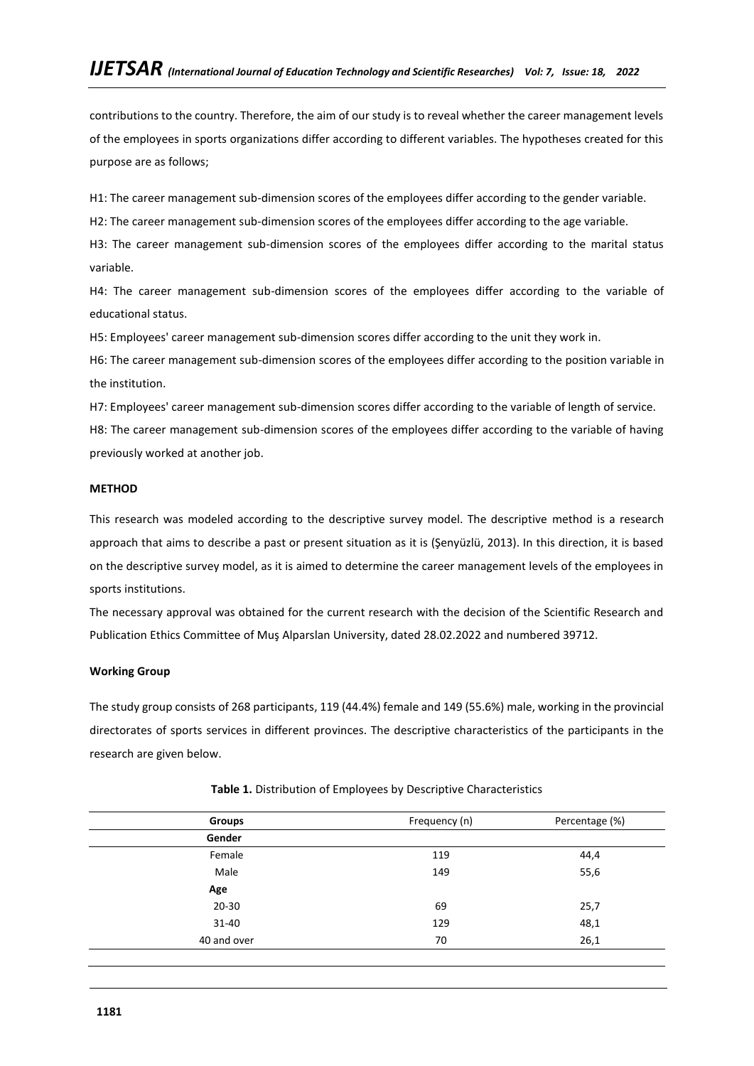contributions to the country. Therefore, the aim of our study is to reveal whether the career management levels of the employees in sports organizations differ according to different variables. The hypotheses created for this purpose are as follows;

H1: The career management sub-dimension scores of the employees differ according to the gender variable.

H2: The career management sub-dimension scores of the employees differ according to the age variable.

H3: The career management sub-dimension scores of the employees differ according to the marital status variable.

H4: The career management sub-dimension scores of the employees differ according to the variable of educational status.

H5: Employees' career management sub-dimension scores differ according to the unit they work in.

H6: The career management sub-dimension scores of the employees differ according to the position variable in the institution.

H7: Employees' career management sub-dimension scores differ according to the variable of length of service. H8: The career management sub-dimension scores of the employees differ according to the variable of having previously worked at another job.

# **METHOD**

This research was modeled according to the descriptive survey model. The descriptive method is a research approach that aims to describe a past or present situation as it is (Şenyüzlü, 2013). In this direction, it is based on the descriptive survey model, as it is aimed to determine the career management levels of the employees in sports institutions.

The necessary approval was obtained for the current research with the decision of the Scientific Research and Publication Ethics Committee of Muş Alparslan University, dated 28.02.2022 and numbered 39712.

## **Working Group**

The study group consists of 268 participants, 119 (44.4%) female and 149 (55.6%) male, working in the provincial directorates of sports services in different provinces. The descriptive characteristics of the participants in the research are given below.

| Groups      | Frequency (n) | Percentage (%) |
|-------------|---------------|----------------|
| Gender      |               |                |
| Female      | 119           | 44,4           |
| Male        | 149           | 55,6           |
| Age         |               |                |
| $20 - 30$   | 69            | 25,7           |
| 31-40       | 129           | 48,1           |
| 40 and over | 70            | 26,1           |
|             |               |                |

## **Table 1.** Distribution of Employees by Descriptive Characteristics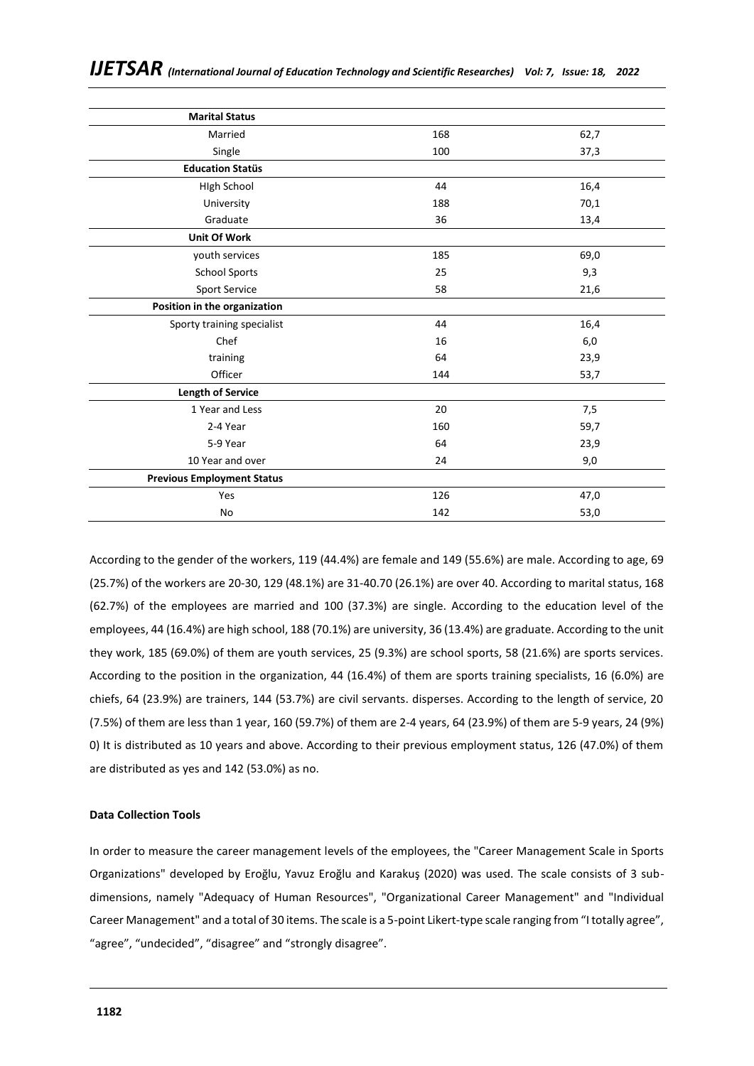| 168 | 62,7 |
|-----|------|
| 100 | 37,3 |
|     |      |
| 44  | 16,4 |
| 188 | 70,1 |
| 36  | 13,4 |
|     |      |
| 185 | 69,0 |
| 25  | 9,3  |
| 58  | 21,6 |
|     |      |
| 44  | 16,4 |
| 16  | 6,0  |
| 64  | 23,9 |
| 144 | 53,7 |
|     |      |
| 20  | 7,5  |
| 160 | 59,7 |
| 64  | 23,9 |
| 24  | 9,0  |
|     |      |
| 126 | 47,0 |
| 142 | 53,0 |
|     |      |

According to the gender of the workers, 119 (44.4%) are female and 149 (55.6%) are male. According to age, 69 (25.7%) of the workers are 20-30, 129 (48.1%) are 31-40.70 (26.1%) are over 40. According to marital status, 168 (62.7%) of the employees are married and 100 (37.3%) are single. According to the education level of the employees, 44 (16.4%) are high school, 188 (70.1%) are university, 36 (13.4%) are graduate. According to the unit they work, 185 (69.0%) of them are youth services, 25 (9.3%) are school sports, 58 (21.6%) are sports services. According to the position in the organization, 44 (16.4%) of them are sports training specialists, 16 (6.0%) are chiefs, 64 (23.9%) are trainers, 144 (53.7%) are civil servants. disperses. According to the length of service, 20 (7.5%) of them are less than 1 year, 160 (59.7%) of them are 2-4 years, 64 (23.9%) of them are 5-9 years, 24 (9%) 0) It is distributed as 10 years and above. According to their previous employment status, 126 (47.0%) of them are distributed as yes and 142 (53.0%) as no.

# **Data Collection Tools**

In order to measure the career management levels of the employees, the "Career Management Scale in Sports Organizations" developed by Eroğlu, Yavuz Eroğlu and Karakuş (2020) was used. The scale consists of 3 subdimensions, namely "Adequacy of Human Resources", "Organizational Career Management" and "Individual Career Management" and a total of 30 items. The scale is a 5-point Likert-type scale ranging from "I totally agree", "agree", "undecided", "disagree" and "strongly disagree".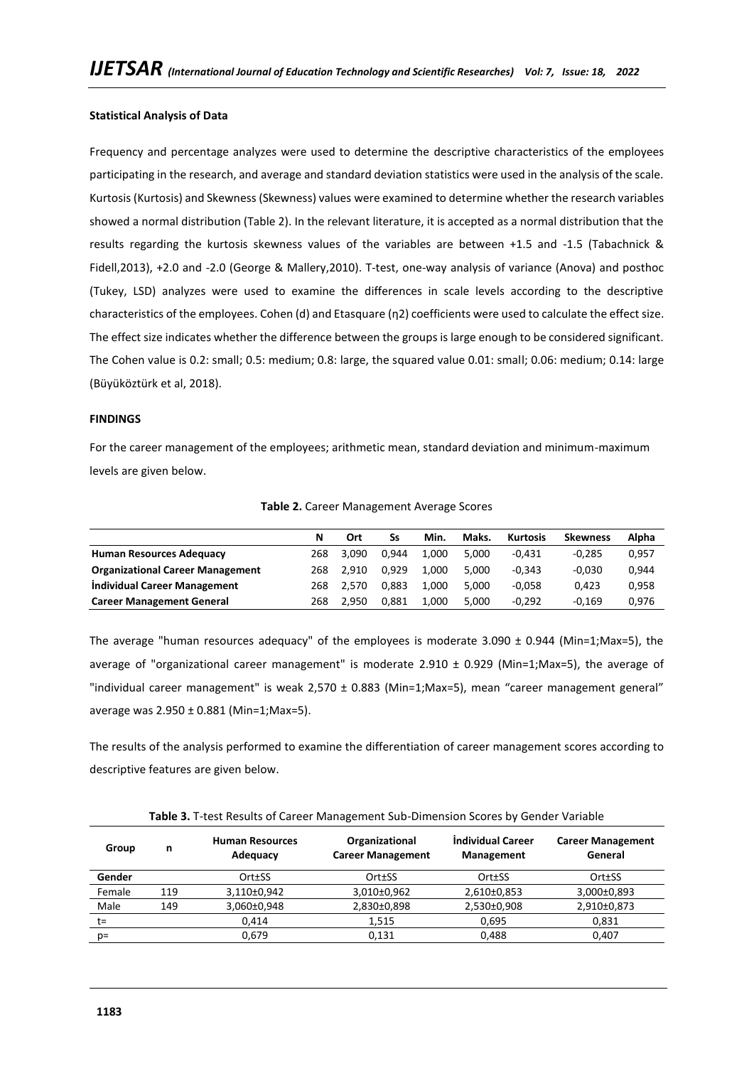### **Statistical Analysis of Data**

Frequency and percentage analyzes were used to determine the descriptive characteristics of the employees participating in the research, and average and standard deviation statistics were used in the analysis of the scale. Kurtosis (Kurtosis) and Skewness (Skewness) values were examined to determine whether the research variables showed a normal distribution (Table 2). In the relevant literature, it is accepted as a normal distribution that the results regarding the kurtosis skewness values of the variables are between +1.5 and -1.5 (Tabachnick & Fidell,2013), +2.0 and -2.0 (George & Mallery,2010). T-test, one-way analysis of variance (Anova) and posthoc (Tukey, LSD) analyzes were used to examine the differences in scale levels according to the descriptive characteristics of the employees. Cohen (d) and Etasquare (η2) coefficients were used to calculate the effect size. The effect size indicates whether the difference between the groups is large enough to be considered significant. The Cohen value is 0.2: small; 0.5: medium; 0.8: large, the squared value 0.01: small; 0.06: medium; 0.14: large (Büyüköztürk et al, 2018).

### **FINDINGS**

For the career management of the employees; arithmetic mean, standard deviation and minimum-maximum levels are given below.

|                                         | N   | Ort   | Ss    | Min.  | Maks. | <b>Kurtosis</b> | <b>Skewness</b> | Alpha |
|-----------------------------------------|-----|-------|-------|-------|-------|-----------------|-----------------|-------|
| <b>Human Resources Adequacy</b>         | 268 | 3.090 | 0.944 | 1.000 | 5.000 | $-0.431$        | $-0.285$        | 0.957 |
| <b>Organizational Career Management</b> | 268 | 2.910 | 0.929 | 1.000 | 5.000 | $-0.343$        | $-0.030$        | 0.944 |
| Individual Career Management            | 268 | 2.570 | 0.883 | 1.000 | 5.000 | $-0.058$        | 0.423           | 0.958 |
| <b>Career Management General</b>        | 268 | 2.950 | 0.881 | 1.000 | 5.000 | $-0.292$        | $-0.169$        | 0.976 |

**Table 2.** Career Management Average Scores

The average "human resources adequacy" of the employees is moderate 3.090 ± 0.944 (Min=1;Max=5), the average of "organizational career management" is moderate 2.910  $\pm$  0.929 (Min=1;Max=5), the average of "individual career management" is weak 2,570 ± 0.883 (Min=1;Max=5), mean "career management general" average was 2.950 ± 0.881 (Min=1;Max=5).

The results of the analysis performed to examine the differentiation of career management scores according to descriptive features are given below.

| Group  | n   | <b>Human Resources</b><br>Adequacy | Organizational<br><b>Career Management</b> | <b>Individual Career</b><br><b>Management</b> | <b>Career Management</b><br>General |
|--------|-----|------------------------------------|--------------------------------------------|-----------------------------------------------|-------------------------------------|
| Gender |     | Ort±SS                             | Ort±SS                                     | Ort±SS                                        | Ort±SS                              |
| Female | 119 | 3,110±0,942                        | 3,010±0,962                                | 2,610±0,853                                   | 3,000±0,893                         |
| Male   | 149 | 3,060±0,948                        | 2,830±0,898                                | 2,530±0,908                                   | 2,910±0,873                         |
| t=     |     | 0.414                              | 1,515                                      | 0.695                                         | 0,831                               |
| $p =$  |     | 0.679                              | 0,131                                      | 0.488                                         | 0.407                               |

**Table 3.** T-test Results of Career Management Sub-Dimension Scores by Gender Variable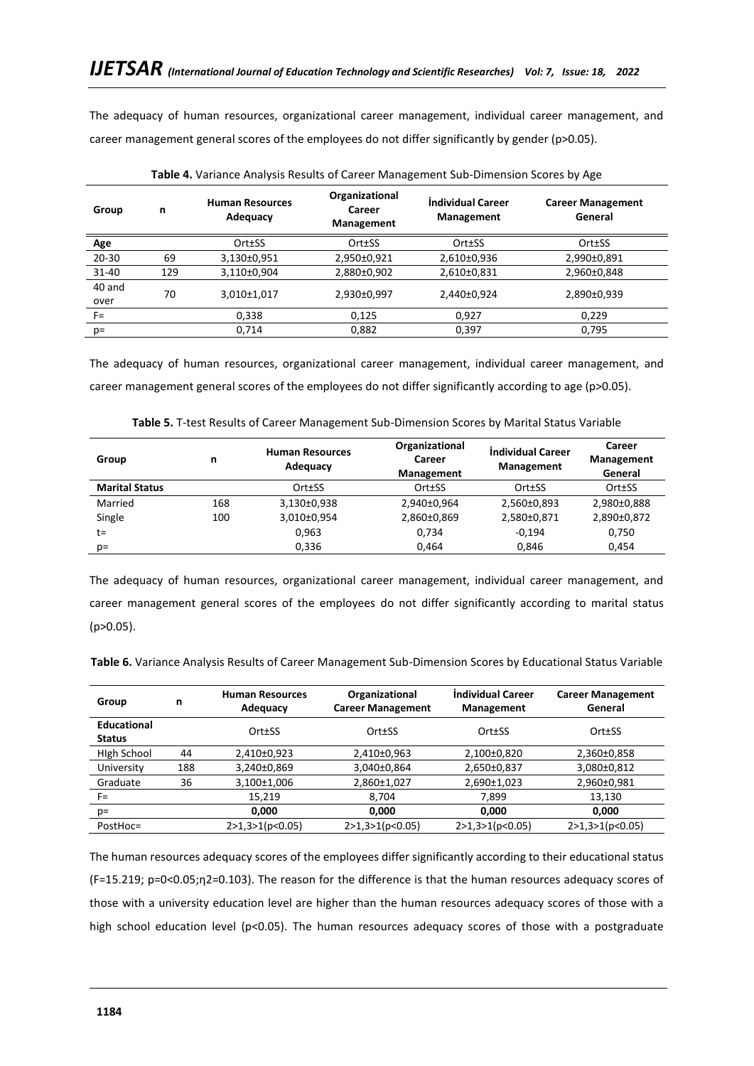The adequacy of human resources, organizational career management, individual career management, and career management general scores of the employees do not differ significantly by gender (p>0.05).

|                | <b>TWIS</b> IT YOURING? INCIPED INCOMICS OF COLCOPTIONSCHICTIC SOME BILITISHOTI SCOTCS MY? INC |                                    |                                               |                                 |                                     |  |  |  |
|----------------|------------------------------------------------------------------------------------------------|------------------------------------|-----------------------------------------------|---------------------------------|-------------------------------------|--|--|--|
| Group          | n                                                                                              | <b>Human Resources</b><br>Adequacy | Organizational<br>Career<br><b>Management</b> | Individual Career<br>Management | <b>Career Management</b><br>General |  |  |  |
| Age            |                                                                                                | Ort±SS                             | Ort±SS                                        | Ort±SS                          | Ort±SS                              |  |  |  |
| $20 - 30$      | 69                                                                                             | 3,130±0,951                        | 2,950±0,921                                   | 2,610±0,936                     | 2,990±0,891                         |  |  |  |
| 31-40          | 129                                                                                            | 3,110±0,904                        | 2,880±0,902                                   | 2,610±0,831                     | 2,960±0,848                         |  |  |  |
| 40 and<br>over | 70                                                                                             | 3,010±1,017                        | 2,930±0,997                                   | 2,440±0,924                     | 2,890±0,939                         |  |  |  |
| $F =$          |                                                                                                | 0,338                              | 0,125                                         | 0,927                           | 0,229                               |  |  |  |
| $p=$           |                                                                                                | 0,714                              | 0,882                                         | 0,397                           | 0,795                               |  |  |  |

**Table 4.** Variance Analysis Results of Career Management Sub-Dimension Scores by Age

The adequacy of human resources, organizational career management, individual career management, and career management general scores of the employees do not differ significantly according to age (p>0.05).

| Group                 | n   | <b>Human Resources</b><br>Adequacy | Organizational<br>Career<br><b>Management</b> | Individual Career<br><b>Management</b> | Career<br><b>Management</b><br>General |
|-----------------------|-----|------------------------------------|-----------------------------------------------|----------------------------------------|----------------------------------------|
| <b>Marital Status</b> |     | Ort±SS                             | Ort±SS                                        | Ort±SS                                 | Ort±SS                                 |
| Married               | 168 | 3,130±0,938                        | 2,940±0,964                                   | 2,560±0,893                            | 2,980±0,888                            |
| Single                | 100 | 3,010±0,954                        | 2,860±0,869                                   | 2,580±0,871                            | 2,890±0,872                            |
| $t =$                 |     | 0.963                              | 0.734                                         | $-0.194$                               | 0.750                                  |
| $p=$                  |     | 0,336                              | 0,464                                         | 0,846                                  | 0,454                                  |

**Table 5.** T-test Results of Career Management Sub-Dimension Scores by Marital Status Variable

The adequacy of human resources, organizational career management, individual career management, and career management general scores of the employees do not differ significantly according to marital status (p>0.05).

|  |  | Table 6. Variance Analysis Results of Career Management Sub-Dimension Scores by Educational Status Variable |
|--|--|-------------------------------------------------------------------------------------------------------------|
|--|--|-------------------------------------------------------------------------------------------------------------|

| Group                               | n   | <b>Human Resources</b><br>Adequacy | Organizational<br><b>Career Management</b> | Individual Career<br><b>Management</b> | <b>Career Management</b><br>General |
|-------------------------------------|-----|------------------------------------|--------------------------------------------|----------------------------------------|-------------------------------------|
| <b>Educational</b><br><b>Status</b> |     | Ort±SS                             | Ort±SS                                     | Ort±SS                                 | Ort±SS                              |
| High School                         | 44  | 2,410±0,923                        | 2,410±0,963                                | 2,100±0,820                            | 2,360±0,858                         |
| University                          | 188 | 3,240±0,869                        | 3,040±0,864                                | 2,650±0,837                            | 3,080±0,812                         |
| Graduate                            | 36  | 3,100±1,006                        | 2,860±1,027                                | 2,690±1,023                            | 2,960±0,981                         |
| $F =$                               |     | 15,219                             | 8.704                                      | 7.899                                  | 13,130                              |
| $p=$                                |     | 0,000                              | 0,000                                      | 0,000                                  | 0,000                               |
| PostHoc=                            |     | 2>1,3>1(p<0.05)                    | 2>1,3>1(p<0.05)                            | 2>1,3>1(p<0.05)                        | 2>1,3>1(p<0.05)                     |

The human resources adequacy scores of the employees differ significantly according to their educational status (F=15.219; p=0<0.05;η2=0.103). The reason for the difference is that the human resources adequacy scores of those with a university education level are higher than the human resources adequacy scores of those with a high school education level (p<0.05). The human resources adequacy scores of those with a postgraduate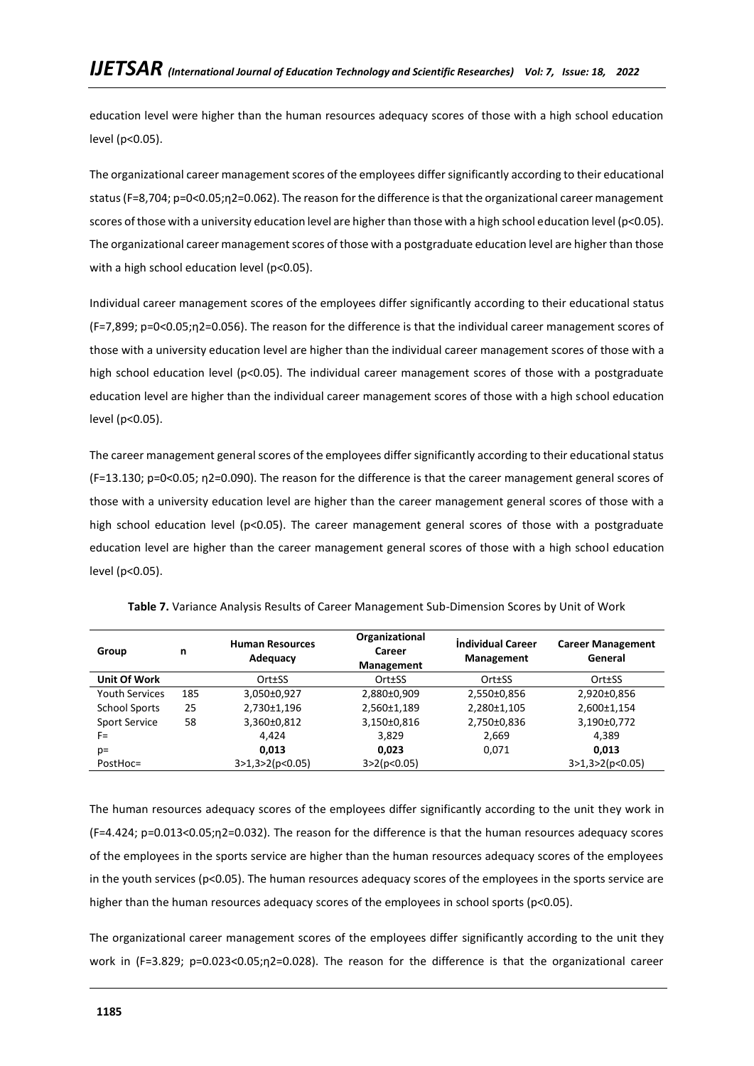education level were higher than the human resources adequacy scores of those with a high school education level (p<0.05).

The organizational career management scores of the employees differ significantly according to their educational status (F=8,704; p=0<0.05;η2=0.062). The reason for the difference is that the organizational career management scores of those with a university education level are higher than those with a high school education level (p<0.05). The organizational career management scores of those with a postgraduate education level are higher than those with a high school education level (p<0.05).

Individual career management scores of the employees differ significantly according to their educational status (F=7,899; p=0<0.05;η2=0.056). The reason for the difference is that the individual career management scores of those with a university education level are higher than the individual career management scores of those with a high school education level (p<0.05). The individual career management scores of those with a postgraduate education level are higher than the individual career management scores of those with a high school education level (p<0.05).

The career management general scores of the employees differ significantly according to their educational status (F=13.130; p=0<0.05; η2=0.090). The reason for the difference is that the career management general scores of those with a university education level are higher than the career management general scores of those with a high school education level (p<0.05). The career management general scores of those with a postgraduate education level are higher than the career management general scores of those with a high school education level (p<0.05).

| Group                 | n   | <b>Human Resources</b><br>Adequacy | Organizational<br>Career<br><b>Management</b> | <b>Individual Career</b><br><b>Management</b> | <b>Career Management</b><br>General |
|-----------------------|-----|------------------------------------|-----------------------------------------------|-----------------------------------------------|-------------------------------------|
| Unit Of Work          |     | Ort±SS                             | Ort±SS                                        | Ort±SS                                        | Ort±SS                              |
| <b>Youth Services</b> | 185 | 3,050±0,927                        | 2,880±0,909                                   | 2,550±0,856                                   | 2,920±0,856                         |
| <b>School Sports</b>  | 25  | 2,730±1,196                        | 2,560±1,189                                   | 2,280±1,105                                   | 2,600±1,154                         |
| <b>Sport Service</b>  | 58  | 3,360±0,812                        | 3,150±0,816                                   | 2,750±0,836                                   | 3,190±0,772                         |
| F=                    |     | 4.424                              | 3,829                                         | 2,669                                         | 4.389                               |
| $p=$                  |     | 0,013                              | 0,023                                         | 0,071                                         | 0,013                               |
| PostHoc=              |     | 3>1,3>2(p<0.05)                    | 3 > 2(p < 0.05)                               |                                               | 3>1,3>2(p<0.05)                     |

**Table 7.** Variance Analysis Results of Career Management Sub-Dimension Scores by Unit of Work

The human resources adequacy scores of the employees differ significantly according to the unit they work in (F=4.424; p=0.013<0.05;η2=0.032). The reason for the difference is that the human resources adequacy scores of the employees in the sports service are higher than the human resources adequacy scores of the employees in the youth services (p<0.05). The human resources adequacy scores of the employees in the sports service are higher than the human resources adequacy scores of the employees in school sports (p<0.05).

The organizational career management scores of the employees differ significantly according to the unit they work in (F=3.829; p=0.023<0.05;η2=0.028). The reason for the difference is that the organizational career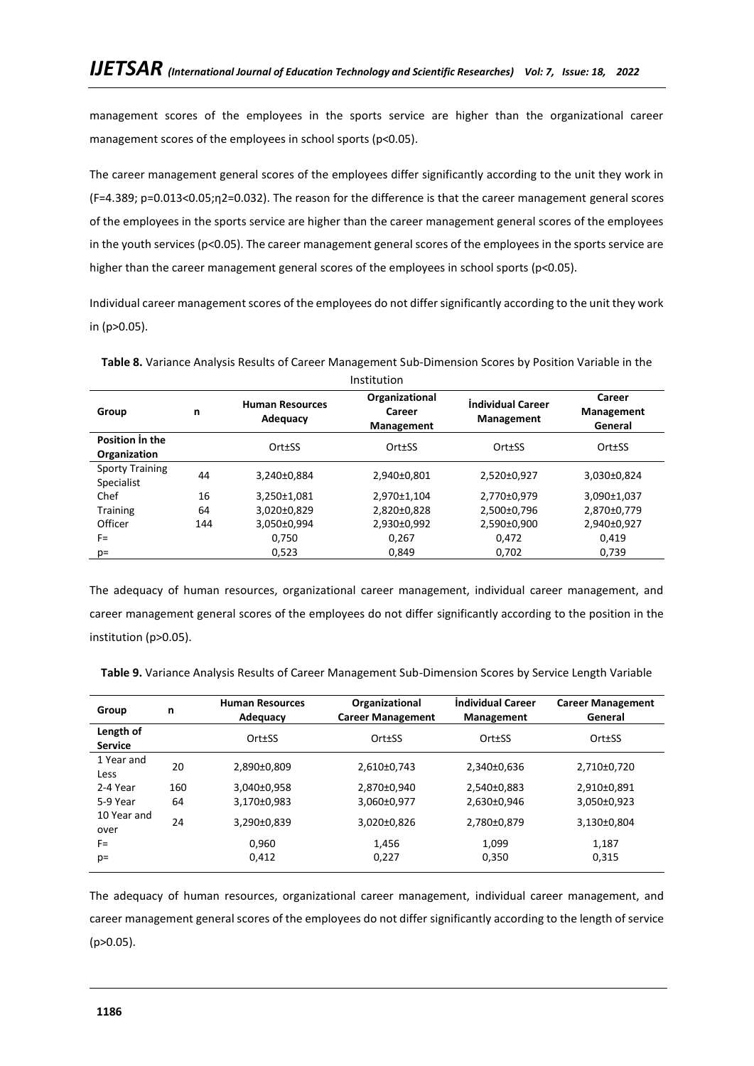management scores of the employees in the sports service are higher than the organizational career management scores of the employees in school sports (p<0.05).

The career management general scores of the employees differ significantly according to the unit they work in (F=4.389; p=0.013<0.05;η2=0.032). The reason for the difference is that the career management general scores of the employees in the sports service are higher than the career management general scores of the employees in the youth services (p<0.05). The career management general scores of the employees in the sports service are higher than the career management general scores of the employees in school sports (p<0.05).

Individual career management scores of the employees do not differ significantly according to the unit they work in (p>0.05).

|                                      | Institution |                                    |                                        |                                        |                                 |  |  |
|--------------------------------------|-------------|------------------------------------|----------------------------------------|----------------------------------------|---------------------------------|--|--|
| Group                                | n           | <b>Human Resources</b><br>Adequacy | Organizational<br>Career<br>Management | <b>Individual Career</b><br>Management | Career<br>Management<br>General |  |  |
| Position in the<br>Organization      |             | Ort±SS                             | Ort±SS                                 | Ort±SS                                 | Ort±SS                          |  |  |
| <b>Sporty Training</b><br>Specialist | 44          | 3,240±0,884                        | 2,940±0,801                            | 2,520±0,927                            | 3,030±0,824                     |  |  |
| Chef                                 | 16          | 3,250±1,081                        | 2,970±1,104                            | 2,770±0,979                            | 3,090±1,037                     |  |  |
| <b>Training</b>                      | 64          | 3,020±0,829                        | 2,820±0,828                            | 2,500±0,796                            | 2,870±0,779                     |  |  |
| Officer                              | 144         | 3,050±0,994                        | 2,930±0,992                            | 2,590±0,900                            | 2,940±0,927                     |  |  |
| $F =$                                |             | 0.750                              | 0.267                                  | 0.472                                  | 0,419                           |  |  |
| $p=$                                 |             | 0,523                              | 0,849                                  | 0,702                                  | 0,739                           |  |  |

**Table 8.** Variance Analysis Results of Career Management Sub-Dimension Scores by Position Variable in the

The adequacy of human resources, organizational career management, individual career management, and career management general scores of the employees do not differ significantly according to the position in the institution (p>0.05).

**Table 9.** Variance Analysis Results of Career Management Sub-Dimension Scores by Service Length Variable

| Group                       | n   | <b>Human Resources</b><br>Adequacy | Organizational<br><b>Career Management</b> | <b>Individual Career</b><br><b>Management</b> | <b>Career Management</b><br>General |
|-----------------------------|-----|------------------------------------|--------------------------------------------|-----------------------------------------------|-------------------------------------|
| Length of<br><b>Service</b> |     | Ort±SS                             | Ort±SS                                     | Ort±SS                                        | Ort±SS                              |
| 1 Year and<br>Less          | 20  | 2,890±0,809                        | 2,610±0,743                                | 2,340±0,636                                   | 2,710±0,720                         |
| 2-4 Year                    | 160 | 3,040±0,958                        | 2,870±0,940                                | 2,540±0,883                                   | 2,910±0,891                         |
| 5-9 Year                    | 64  | 3,170±0,983                        | 3,060±0,977                                | 2,630±0,946                                   | 3,050±0,923                         |
| 10 Year and<br>over         | 24  | 3,290±0,839                        | 3,020±0,826                                | 2,780±0,879                                   | 3,130±0,804                         |
| $F =$                       |     | 0.960                              | 1.456                                      | 1.099                                         | 1,187                               |
| $p=$                        |     | 0,412                              | 0,227                                      | 0,350                                         | 0,315                               |

The adequacy of human resources, organizational career management, individual career management, and career management general scores of the employees do not differ significantly according to the length of service (p>0.05).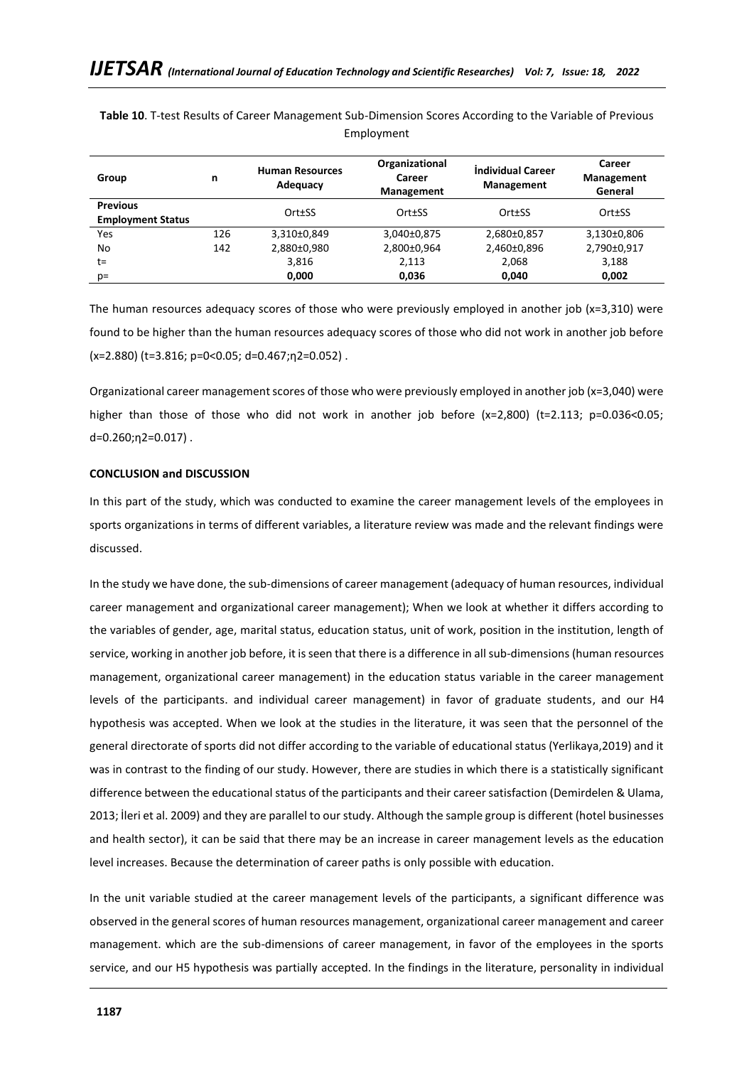| Group                                       | n   | <b>Human Resources</b><br>Adequacy | Organizational<br>Career<br><b>Management</b> | Individual Career<br><b>Management</b> | Career<br><b>Management</b><br>General |
|---------------------------------------------|-----|------------------------------------|-----------------------------------------------|----------------------------------------|----------------------------------------|
| <b>Previous</b><br><b>Employment Status</b> |     | Ort±SS                             | Ort±SS                                        | Ort±SS                                 | Ort±SS                                 |
| Yes                                         | 126 | 3,310±0,849                        | 3,040±0,875                                   | 2,680±0,857                            | 3,130±0,806                            |
| No                                          | 142 | 2,880±0,980                        | 2,800±0,964                                   | 2,460±0,896                            | 2,790±0,917                            |
| t=                                          |     | 3,816                              | 2,113                                         | 2,068                                  | 3,188                                  |
| p=                                          |     | 0,000                              | 0,036                                         | 0,040                                  | 0,002                                  |

**Table 10**. T-test Results of Career Management Sub-Dimension Scores According to the Variable of Previous Employment

The human resources adequacy scores of those who were previously employed in another job  $(x=3,310)$  were found to be higher than the human resources adequacy scores of those who did not work in another job before (x=2.880) (t=3.816; p=0<0.05; d=0.467;η2=0.052) .

Organizational career management scores of those who were previously employed in another job (x=3,040) were higher than those of those who did not work in another job before (x=2,800) (t=2.113; p=0.036<0.05; d=0.260;η2=0.017) .

## **CONCLUSION and DISCUSSION**

In this part of the study, which was conducted to examine the career management levels of the employees in sports organizations in terms of different variables, a literature review was made and the relevant findings were discussed.

In the study we have done, the sub-dimensions of career management (adequacy of human resources, individual career management and organizational career management); When we look at whether it differs according to the variables of gender, age, marital status, education status, unit of work, position in the institution, length of service, working in another job before, it is seen that there is a difference in all sub-dimensions (human resources management, organizational career management) in the education status variable in the career management levels of the participants. and individual career management) in favor of graduate students, and our H4 hypothesis was accepted. When we look at the studies in the literature, it was seen that the personnel of the general directorate of sports did not differ according to the variable of educational status (Yerlikaya,2019) and it was in contrast to the finding of our study. However, there are studies in which there is a statistically significant difference between the educational status of the participants and their career satisfaction (Demirdelen & Ulama, 2013; İleri et al. 2009) and they are parallel to our study. Although the sample group is different (hotel businesses and health sector), it can be said that there may be an increase in career management levels as the education level increases. Because the determination of career paths is only possible with education.

In the unit variable studied at the career management levels of the participants, a significant difference was observed in the general scores of human resources management, organizational career management and career management. which are the sub-dimensions of career management, in favor of the employees in the sports service, and our H5 hypothesis was partially accepted. In the findings in the literature, personality in individual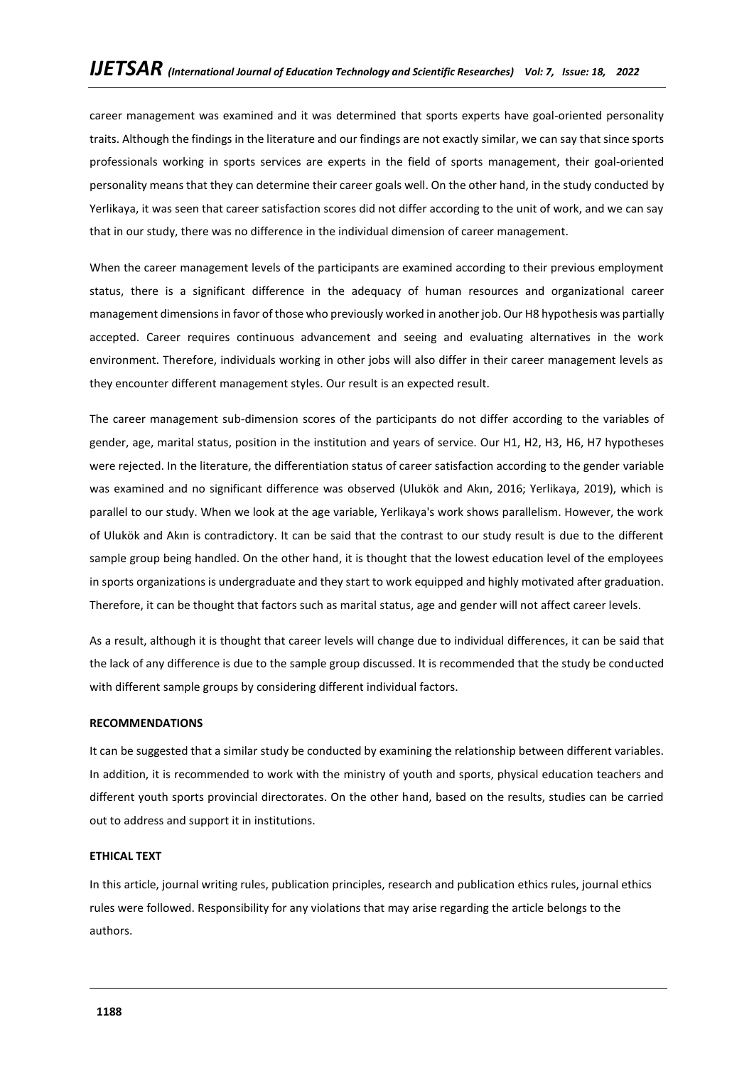career management was examined and it was determined that sports experts have goal-oriented personality traits. Although the findings in the literature and our findings are not exactly similar, we can say that since sports professionals working in sports services are experts in the field of sports management, their goal-oriented personality means that they can determine their career goals well. On the other hand, in the study conducted by Yerlikaya, it was seen that career satisfaction scores did not differ according to the unit of work, and we can say that in our study, there was no difference in the individual dimension of career management.

When the career management levels of the participants are examined according to their previous employment status, there is a significant difference in the adequacy of human resources and organizational career management dimensions in favor of those who previously worked in another job. Our H8 hypothesis was partially accepted. Career requires continuous advancement and seeing and evaluating alternatives in the work environment. Therefore, individuals working in other jobs will also differ in their career management levels as they encounter different management styles. Our result is an expected result.

The career management sub-dimension scores of the participants do not differ according to the variables of gender, age, marital status, position in the institution and years of service. Our H1, H2, H3, H6, H7 hypotheses were rejected. In the literature, the differentiation status of career satisfaction according to the gender variable was examined and no significant difference was observed (Ulukök and Akın, 2016; Yerlikaya, 2019), which is parallel to our study. When we look at the age variable, Yerlikaya's work shows parallelism. However, the work of Ulukök and Akın is contradictory. It can be said that the contrast to our study result is due to the different sample group being handled. On the other hand, it is thought that the lowest education level of the employees in sports organizations is undergraduate and they start to work equipped and highly motivated after graduation. Therefore, it can be thought that factors such as marital status, age and gender will not affect career levels.

As a result, although it is thought that career levels will change due to individual differences, it can be said that the lack of any difference is due to the sample group discussed. It is recommended that the study be conducted with different sample groups by considering different individual factors.

### **RECOMMENDATIONS**

It can be suggested that a similar study be conducted by examining the relationship between different variables. In addition, it is recommended to work with the ministry of youth and sports, physical education teachers and different youth sports provincial directorates. On the other hand, based on the results, studies can be carried out to address and support it in institutions.

### **ETHICAL TEXT**

In this article, journal writing rules, publication principles, research and publication ethics rules, journal ethics rules were followed. Responsibility for any violations that may arise regarding the article belongs to the authors.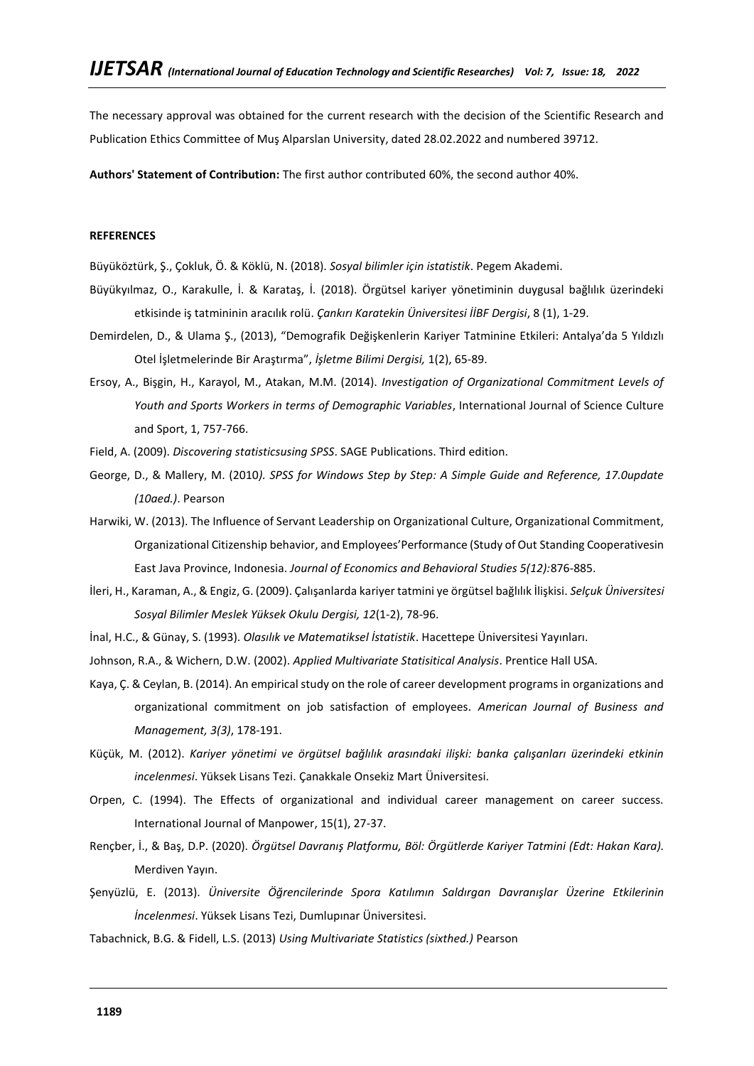The necessary approval was obtained for the current research with the decision of the Scientific Research and Publication Ethics Committee of Muş Alparslan University, dated 28.02.2022 and numbered 39712.

**Authors' Statement of Contribution:** The first author contributed 60%, the second author 40%.

### **REFERENCES**

Büyüköztürk, Ş., Çokluk, Ö. & Köklü, N. (2018). *Sosyal bilimler için istatistik*. Pegem Akademi.

- Büyükyılmaz, O., Karakulle, İ. & Karataş, İ. (2018). Örgütsel kariyer yönetiminin duygusal bağlılık üzerindeki etkisinde iş tatmininin aracılık rolü. *Çankırı Karatekin Üniversitesi İİBF Dergisi*, 8 (1), 1-29.
- Demirdelen, D., & Ulama Ş., (2013), "Demografik Değişkenlerin Kariyer Tatminine Etkileri: Antalya'da 5 Yıldızlı Otel İşletmelerinde Bir Araştırma", *İşletme Bilimi Dergisi,* 1(2), 65-89.
- Ersoy, A., Bişgin, H., Karayol, M., Atakan, M.M. (2014). *Investigation of Organizational Commitment Levels of Youth and Sports Workers in terms of Demographic Variables*, International Journal of Science Culture and Sport, 1, 757-766.
- Field, A. (2009). *Discovering statisticsusing SPSS*. SAGE Publications. Third edition.
- George, D., & Mallery, M. (2010*). SPSS for Windows Step by Step: A Simple Guide and Reference, 17.0update (10aed.)*. Pearson
- Harwiki, W. (2013). The Influence of Servant Leadership on Organizational Culture, Organizational Commitment, Organizational Citizenship behavior, and Employees'Performance (Study of Out Standing Cooperativesin East Java Province, Indonesia. *Journal of Economics and Behavioral Studies 5(12):*876-885.
- İleri, H., Karaman, A., & Engiz, G. (2009). Çalışanlarda kariyer tatmini ye örgütsel bağlılık İlişkisi. *Selçuk Üniversitesi Sosyal Bilimler Meslek Yüksek Okulu Dergisi, 12*(1-2), 78-96.
- İnal, H.C., & Günay, S. (1993). *Olasılık ve Matematiksel İstatistik*. Hacettepe Üniversitesi Yayınları.
- Johnson, R.A., & Wichern, D.W. (2002). *Applied Multivariate Statisitical Analysis*. Prentice Hall USA.
- Kaya, Ç. & Ceylan, B. (2014). An empirical study on the role of career development programs in organizations and organizational commitment on job satisfaction of employees*. American Journal of Business and Management, 3(3)*, 178-191.
- Küçük, M. (2012). *Kariyer yönetimi ve örgütsel bağlılık arasındaki ilişki: banka çalışanları üzerindeki etkinin incelenmesi*. Yüksek Lisans Tezi. Çanakkale Onsekiz Mart Üniversitesi.
- Orpen, C. (1994). The Effects of organizational and individual career management on career success. International Journal of Manpower, 15(1), 27-37.
- Rençber, İ., & Baş, D.P. (2020). *Örgütsel Davranış Platformu, Böl: Örgütlerde Kariyer Tatmini (Edt: Hakan Kara).* Merdiven Yayın.
- Şenyüzlü, E. (2013). *Üniversite Öğrencilerinde Spora Katılımın Saldırgan Davranışlar Üzerine Etkilerinin İncelenmesi*. Yüksek Lisans Tezi, Dumlupınar Üniversitesi.
- Tabachnick, B.G. & Fidell, L.S. (2013) *Using Multivariate Statistics (sixthed.)* Pearson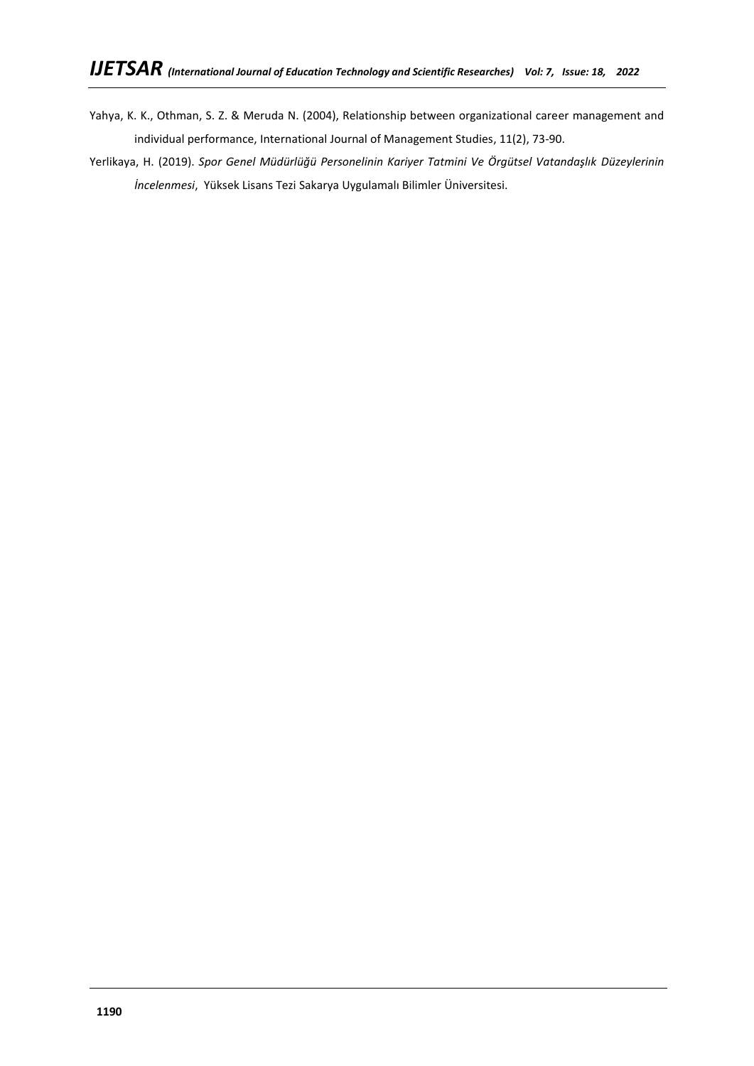- Yahya, K. K., Othman, S. Z. & Meruda N. (2004), Relationship between organizational career management and individual performance, International Journal of Management Studies, 11(2), 73-90.
- Yerlikaya, H. (2019). *Spor Genel Müdürlüğü Personelinin Kariyer Tatmini Ve Örgütsel Vatandaşlık Düzeylerinin İncelenmesi*, Yüksek Lisans Tezi Sakarya Uygulamalı Bilimler Üniversitesi.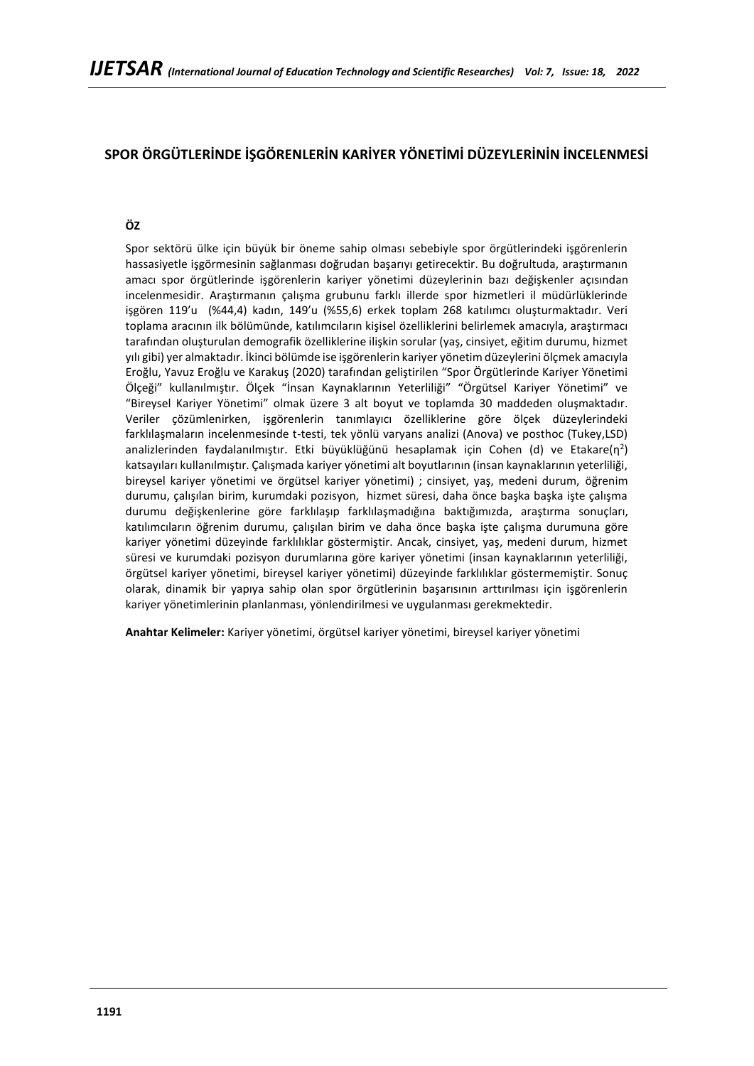# **SPOR ÖRGÜTLERİNDE İŞGÖRENLERİN KARİYER YÖNETİMİ DÜZEYLERİNİN İNCELENMESİ**

# **ÖZ**

Spor sektörü ülke için büyük bir öneme sahip olması sebebiyle spor örgütlerindeki işgörenlerin hassasiyetle işgörmesinin sağlanması doğrudan başarıyı getirecektir. Bu doğrultuda, araştırmanın amacı spor örgütlerinde işgörenlerin kariyer yönetimi düzeylerinin bazı değişkenler açısından incelenmesidir. Araştırmanın çalışma grubunu farklı illerde spor hizmetleri il müdürlüklerinde işgören 119'u (%44,4) kadın, 149'u (%55,6) erkek toplam 268 katılımcı oluşturmaktadır. Veri toplama aracının ilk bölümünde, katılımcıların kişisel özelliklerini belirlemek amacıyla, araştırmacı tarafından oluşturulan demografik özelliklerine ilişkin sorular (yaş, cinsiyet, eğitim durumu, hizmet yılı gibi) yer almaktadır. İkinci bölümde ise işgörenlerin kariyer yönetim düzeylerini ölçmek amacıyla Eroğlu, Yavuz Eroğlu ve Karakuş (2020) tarafından geliştirilen "Spor Örgütlerinde Kariyer Yönetimi Ölçeği" kullanılmıştır. Ölçek "İnsan Kaynaklarının Yeterliliği" "Örgütsel Kariyer Yönetimi" ve "Bireysel Kariyer Yönetimi" olmak üzere 3 alt boyut ve toplamda 30 maddeden oluşmaktadır. Veriler çözümlenirken, işgörenlerin tanımlayıcı özelliklerine göre ölçek düzeylerindeki farklılaşmaların incelenmesinde t-testi, tek yönlü varyans analizi (Anova) ve posthoc (Tukey,LSD) analizlerinden faydalanılmıştır. Etki büyüklüğünü hesaplamak için Cohen (d) ve Etakare(n<sup>2</sup>) katsayıları kullanılmıştır. Çalışmada kariyer yönetimi alt boyutlarının (insan kaynaklarının yeterliliği, bireysel kariyer yönetimi ve örgütsel kariyer yönetimi) ; cinsiyet, yaş, medeni durum, öğrenim durumu, çalışılan birim, kurumdaki pozisyon, hizmet süresi, daha önce başka başka işte çalışma durumu değişkenlerine göre farklılaşıp farklılaşmadığına baktığımızda, araştırma sonuçları, katılımcıların öğrenim durumu, çalışılan birim ve daha önce başka işte çalışma durumuna göre kariyer yönetimi düzeyinde farklılıklar göstermiştir. Ancak, cinsiyet, yaş, medeni durum, hizmet süresi ve kurumdaki pozisyon durumlarına göre kariyer yönetimi (insan kaynaklarının yeterliliği, örgütsel kariyer yönetimi, bireysel kariyer yönetimi) düzeyinde farklılıklar göstermemiştir. Sonuç olarak, dinamik bir yapıya sahip olan spor örgütlerinin başarısının arttırılması için işgörenlerin kariyer yönetimlerinin planlanması, yönlendirilmesi ve uygulanması gerekmektedir.

**Anahtar Kelimeler:** Kariyer yönetimi, örgütsel kariyer yönetimi, bireysel kariyer yönetimi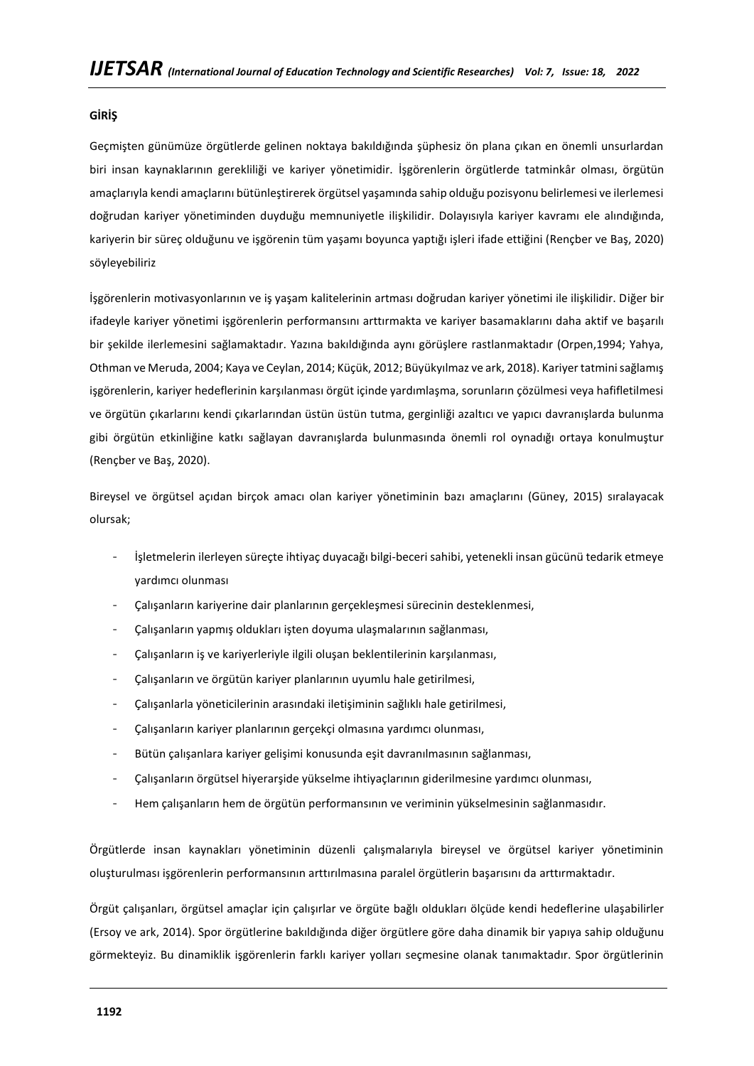# **GİRİŞ**

Geçmişten günümüze örgütlerde gelinen noktaya bakıldığında şüphesiz ön plana çıkan en önemli unsurlardan biri insan kaynaklarının gerekliliği ve kariyer yönetimidir. İşgörenlerin örgütlerde tatminkâr olması, örgütün amaçlarıyla kendi amaçlarını bütünleştirerek örgütsel yaşamında sahip olduğu pozisyonu belirlemesi ve ilerlemesi doğrudan kariyer yönetiminden duyduğu memnuniyetle ilişkilidir. Dolayısıyla kariyer kavramı ele alındığında, kariyerin bir süreç olduğunu ve işgörenin tüm yaşamı boyunca yaptığı işleri ifade ettiğini (Rençber ve Baş, 2020) söyleyebiliriz

İşgörenlerin motivasyonlarının ve iş yaşam kalitelerinin artması doğrudan kariyer yönetimi ile ilişkilidir. Diğer bir ifadeyle kariyer yönetimi işgörenlerin performansını arttırmakta ve kariyer basamaklarını daha aktif ve başarılı bir şekilde ilerlemesini sağlamaktadır. Yazına bakıldığında aynı görüşlere rastlanmaktadır (Orpen,1994; Yahya, Othman ve Meruda, 2004; Kaya ve Ceylan, 2014; Küçük, 2012; Büyükyılmaz ve ark, 2018). Kariyer tatmini sağlamış işgörenlerin, kariyer hedeflerinin karşılanması örgüt içinde yardımlaşma, sorunların çözülmesi veya hafifletilmesi ve örgütün çıkarlarını kendi çıkarlarından üstün üstün tutma, gerginliği azaltıcı ve yapıcı davranışlarda bulunma gibi örgütün etkinliğine katkı sağlayan davranışlarda bulunmasında önemli rol oynadığı ortaya konulmuştur (Rençber ve Baş, 2020).

Bireysel ve örgütsel açıdan birçok amacı olan kariyer yönetiminin bazı amaçlarını (Güney, 2015) sıralayacak olursak;

- İşletmelerin ilerleyen süreçte ihtiyaç duyacağı bilgi-beceri sahibi, yetenekli insan gücünü tedarik etmeye yardımcı olunması
- Çalışanların kariyerine dair planlarının gerçekleşmesi sürecinin desteklenmesi,
- Çalışanların yapmış oldukları işten doyuma ulaşmalarının sağlanması,
- Çalışanların iş ve kariyerleriyle ilgili oluşan beklentilerinin karşılanması,
- Çalışanların ve örgütün kariyer planlarının uyumlu hale getirilmesi,
- Çalışanlarla yöneticilerinin arasındaki iletişiminin sağlıklı hale getirilmesi,
- Çalışanların kariyer planlarının gerçekçi olmasına yardımcı olunması,
- Bütün çalışanlara kariyer gelişimi konusunda eşit davranılmasının sağlanması,
- Çalışanların örgütsel hiyerarşide yükselme ihtiyaçlarının giderilmesine yardımcı olunması,
- Hem çalışanların hem de örgütün performansının ve veriminin yükselmesinin sağlanmasıdır.

Örgütlerde insan kaynakları yönetiminin düzenli çalışmalarıyla bireysel ve örgütsel kariyer yönetiminin oluşturulması işgörenlerin performansının arttırılmasına paralel örgütlerin başarısını da arttırmaktadır.

Örgüt çalışanları, örgütsel amaçlar için çalışırlar ve örgüte bağlı oldukları ölçüde kendi hedeflerine ulaşabilirler (Ersoy ve ark, 2014). Spor örgütlerine bakıldığında diğer örgütlere göre daha dinamik bir yapıya sahip olduğunu görmekteyiz. Bu dinamiklik işgörenlerin farklı kariyer yolları seçmesine olanak tanımaktadır. Spor örgütlerinin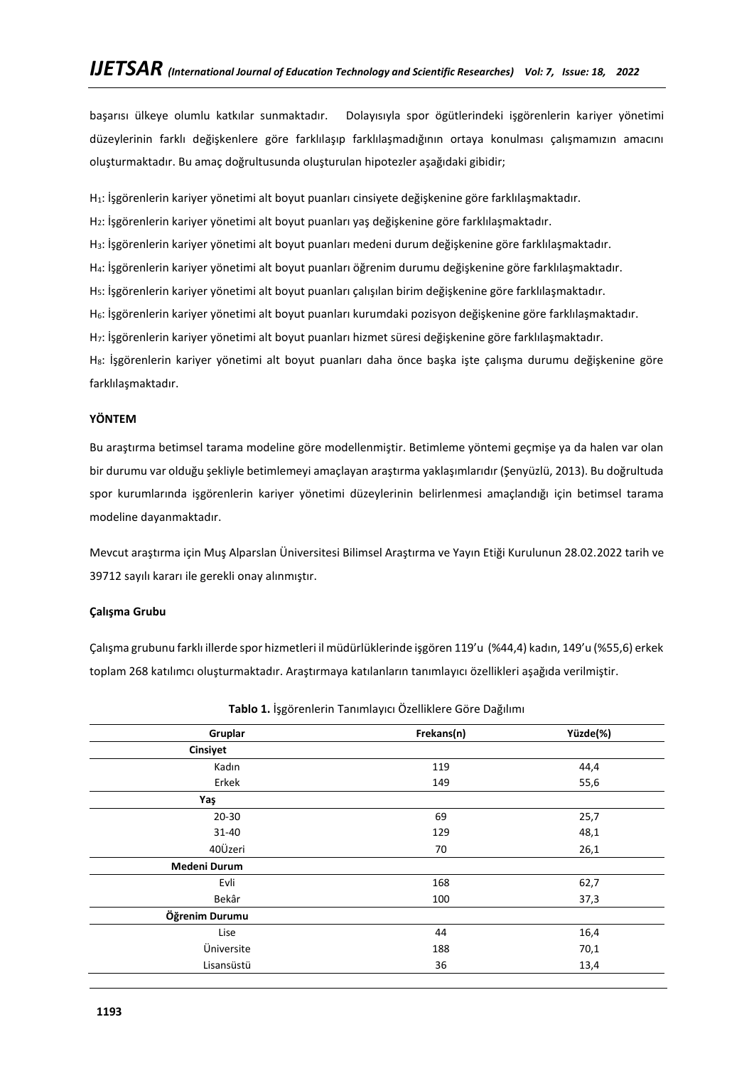başarısı ülkeye olumlu katkılar sunmaktadır. Dolayısıyla spor ögütlerindeki işgörenlerin kariyer yönetimi düzeylerinin farklı değişkenlere göre farklılaşıp farklılaşmadığının ortaya konulması çalışmamızın amacını oluşturmaktadır. Bu amaç doğrultusunda oluşturulan hipotezler aşağıdaki gibidir;

H1: İşgörenlerin kariyer yönetimi alt boyut puanları cinsiyete değişkenine göre farklılaşmaktadır.

H2: İşgörenlerin kariyer yönetimi alt boyut puanları yaş değişkenine göre farklılaşmaktadır.

H3: İşgörenlerin kariyer yönetimi alt boyut puanları medeni durum değişkenine göre farklılaşmaktadır.

H4: İşgörenlerin kariyer yönetimi alt boyut puanları öğrenim durumu değişkenine göre farklılaşmaktadır.

H5: İşgörenlerin kariyer yönetimi alt boyut puanları çalışılan birim değişkenine göre farklılaşmaktadır.

H6: İşgörenlerin kariyer yönetimi alt boyut puanları kurumdaki pozisyon değişkenine göre farklılaşmaktadır.

H7: İşgörenlerin kariyer yönetimi alt boyut puanları hizmet süresi değişkenine göre farklılaşmaktadır.

H8: İşgörenlerin kariyer yönetimi alt boyut puanları daha önce başka işte çalışma durumu değişkenine göre farklılaşmaktadır.

## **YÖNTEM**

Bu araştırma betimsel tarama modeline göre modellenmiştir. Betimleme yöntemi geçmişe ya da halen var olan bir durumu var olduğu şekliyle betimlemeyi amaçlayan araştırma yaklaşımlarıdır (Şenyüzlü, 2013). Bu doğrultuda spor kurumlarında işgörenlerin kariyer yönetimi düzeylerinin belirlenmesi amaçlandığı için betimsel tarama modeline dayanmaktadır.

Mevcut araştırma için Muş Alparslan Üniversitesi Bilimsel Araştırma ve Yayın Etiği Kurulunun 28.02.2022 tarih ve 39712 sayılı kararı ile gerekli onay alınmıştır.

# **Çalışma Grubu**

Çalışma grubunu farklı illerde spor hizmetleri il müdürlüklerinde işgören 119'u (%44,4) kadın, 149'u (%55,6) erkek toplam 268 katılımcı oluşturmaktadır. Araştırmaya katılanların tanımlayıcı özellikleri aşağıda verilmiştir.

| Gruplar             | Frekans(n) | Yüzde(%) |
|---------------------|------------|----------|
| Cinsiyet            |            |          |
| Kadın               | 119        | 44,4     |
| Erkek               | 149        | 55,6     |
| Yaş                 |            |          |
| $20 - 30$           | 69         | 25,7     |
| 31-40               | 129        | 48,1     |
| 40Üzeri             | 70         | 26,1     |
| <b>Medeni Durum</b> |            |          |
| Evli                | 168        | 62,7     |
| Bekâr               | 100        | 37,3     |
| Öğrenim Durumu      |            |          |
| Lise                | 44         | 16,4     |
| Üniversite          | 188        | 70,1     |
| Lisansüstü          | 36         | 13,4     |

**Tablo 1.** İşgörenlerin Tanımlayıcı Özelliklere Göre Dağılımı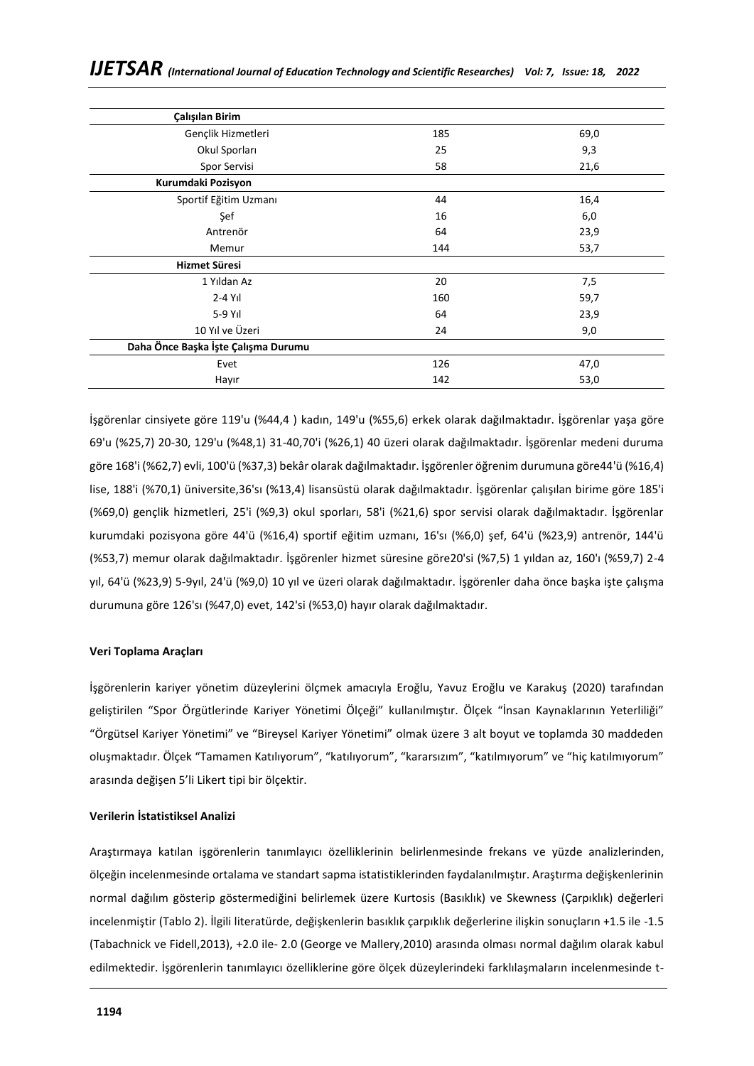| Çalışılan Birim                     |     |      |
|-------------------------------------|-----|------|
| Gençlik Hizmetleri                  | 185 | 69,0 |
| Okul Sporları                       | 25  | 9,3  |
| Spor Servisi                        | 58  | 21,6 |
| Kurumdaki Pozisyon                  |     |      |
| Sportif Eğitim Uzmanı               | 44  | 16,4 |
| Şef                                 | 16  | 6,0  |
| Antrenör                            | 64  | 23,9 |
| Memur                               | 144 | 53,7 |
| Hizmet Süresi                       |     |      |
| 1 Yıldan Az                         | 20  | 7,5  |
| $2 - 4$ Yıl                         | 160 | 59,7 |
| $5-9$ Yıl                           | 64  | 23,9 |
| 10 Yıl ve Üzeri                     | 24  | 9,0  |
| Daha Önce Başka İşte Çalışma Durumu |     |      |
| Evet                                | 126 | 47,0 |
| Hayır                               | 142 | 53,0 |

İşgörenlar cinsiyete göre 119'u (%44,4 ) kadın, 149'u (%55,6) erkek olarak dağılmaktadır. İşgörenlar yaşa göre 69'u (%25,7) 20-30, 129'u (%48,1) 31-40,70'i (%26,1) 40 üzeri olarak dağılmaktadır. İşgörenlar medeni duruma göre 168'i (%62,7) evli, 100'ü (%37,3) bekâr olarak dağılmaktadır. İşgörenler öğrenim durumuna göre44'ü (%16,4) lise, 188'i (%70,1) üniversite,36'sı (%13,4) lisansüstü olarak dağılmaktadır. İşgörenlar çalışılan birime göre 185'i (%69,0) gençlik hizmetleri, 25'i (%9,3) okul sporları, 58'i (%21,6) spor servisi olarak dağılmaktadır. İşgörenlar kurumdaki pozisyona göre 44'ü (%16,4) sportif eğitim uzmanı, 16'sı (%6,0) şef, 64'ü (%23,9) antrenör, 144'ü (%53,7) memur olarak dağılmaktadır. İşgörenler hizmet süresine göre20'si (%7,5) 1 yıldan az, 160'ı (%59,7) 2-4 yıl, 64'ü (%23,9) 5-9yıl, 24'ü (%9,0) 10 yıl ve üzeri olarak dağılmaktadır. İşgörenler daha önce başka işte çalışma durumuna göre 126'sı (%47,0) evet, 142'si (%53,0) hayır olarak dağılmaktadır.

### **Veri Toplama Araçları**

İşgörenlerin kariyer yönetim düzeylerini ölçmek amacıyla Eroğlu, Yavuz Eroğlu ve Karakuş (2020) tarafından geliştirilen "Spor Örgütlerinde Kariyer Yönetimi Ölçeği" kullanılmıştır. Ölçek "İnsan Kaynaklarının Yeterliliği" "Örgütsel Kariyer Yönetimi" ve "Bireysel Kariyer Yönetimi" olmak üzere 3 alt boyut ve toplamda 30 maddeden oluşmaktadır. Ölçek "Tamamen Katılıyorum", "katılıyorum", "kararsızım", "katılmıyorum" ve "hiç katılmıyorum" arasında değişen 5'li Likert tipi bir ölçektir.

### **Verilerin İstatistiksel Analizi**

Araştırmaya katılan işgörenlerin tanımlayıcı özelliklerinin belirlenmesinde frekans ve yüzde analizlerinden, ölçeğin incelenmesinde ortalama ve standart sapma istatistiklerinden faydalanılmıştır. Araştırma değişkenlerinin normal dağılım gösterip göstermediğini belirlemek üzere Kurtosis (Basıklık) ve Skewness (Çarpıklık) değerleri incelenmiştir (Tablo 2). İlgili literatürde, değişkenlerin basıklık çarpıklık değerlerine ilişkin sonuçların +1.5 ile -1.5 (Tabachnick ve Fidell,2013), +2.0 ile- 2.0 (George ve Mallery,2010) arasında olması normal dağılım olarak kabul edilmektedir. İşgörenlerin tanımlayıcı özelliklerine göre ölçek düzeylerindeki farklılaşmaların incelenmesinde t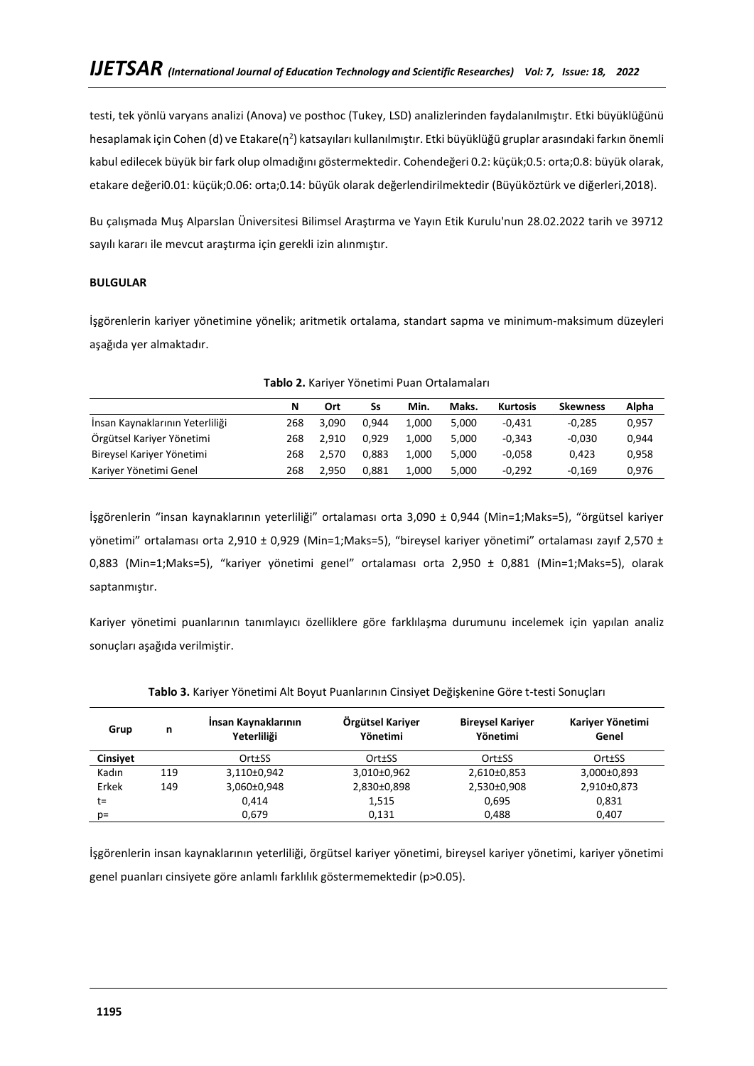testi, tek yönlü varyans analizi (Anova) ve posthoc (Tukey, LSD) analizlerinden faydalanılmıştır. Etki büyüklüğünü hesaplamak için Cohen (d) ve Etakare(η<sup>2</sup>) katsayıları kullanılmıştır. Etki büyüklüğü gruplar arasındaki farkın önemli kabul edilecek büyük bir fark olup olmadığını göstermektedir. Cohendeğeri 0.2: küçük;0.5: orta;0.8: büyük olarak, etakare değeri0.01: küçük;0.06: orta;0.14: büyük olarak değerlendirilmektedir (Büyüköztürk ve diğerleri,2018).

Bu çalışmada Muş Alparslan Üniversitesi Bilimsel Araştırma ve Yayın Etik Kurulu'nun 28.02.2022 tarih ve 39712 sayılı kararı ile mevcut araştırma için gerekli izin alınmıştır.

# **BULGULAR**

İşgörenlerin kariyer yönetimine yönelik; aritmetik ortalama, standart sapma ve minimum-maksimum düzeyleri aşağıda yer almaktadır.

|                                 | N   | Ort   | Ss    | Min.  | Maks. | <b>Kurtosis</b> | <b>Skewness</b> | Alpha |
|---------------------------------|-----|-------|-------|-------|-------|-----------------|-----------------|-------|
| İnsan Kaynaklarının Yeterliliği | 268 | 3.090 | 0.944 | 1.000 | 5.000 | $-0.431$        | $-0.285$        | 0,957 |
| Örgütsel Kariyer Yönetimi       | 268 | 2.910 | 0.929 | 1.000 | 5.000 | $-0.343$        | $-0.030$        | 0,944 |
| Bireysel Kariyer Yönetimi       | 268 | 2.570 | 0.883 | 1.000 | 5.000 | $-0.058$        | 0.423           | 0,958 |
| Kariyer Yönetimi Genel          | 268 | 2.950 | 0.881 | 1.000 | 5.000 | $-0.292$        | $-0.169$        | 0,976 |

İşgörenlerin "insan kaynaklarının yeterliliği" ortalaması orta 3,090 ± 0,944 (Min=1;Maks=5), "örgütsel kariyer yönetimi" ortalaması orta 2,910 ± 0,929 (Min=1;Maks=5), "bireysel kariyer yönetimi" ortalaması zayıf 2,570 ± 0,883 (Min=1;Maks=5), "kariyer yönetimi genel" ortalaması orta 2,950 ± 0,881 (Min=1;Maks=5), olarak saptanmıştır.

Kariyer yönetimi puanlarının tanımlayıcı özelliklere göre farklılaşma durumunu incelemek için yapılan analiz sonuçları aşağıda verilmiştir.

| Grup            | n   | Insan Kaynaklarının<br>Yeterliliği | Örgütsel Kariyer<br>Yönetimi | <b>Bireysel Kariyer</b><br>Yönetimi | Kariyer Yönetimi<br>Genel |
|-----------------|-----|------------------------------------|------------------------------|-------------------------------------|---------------------------|
| <b>Cinsivet</b> |     | Ort±SS                             | Ort±SS                       | Ort±SS                              | Ort±SS                    |
| Kadın           | 119 | 3,110±0,942                        | 3,010±0,962                  | 2,610±0,853                         | $3,000\pm0,893$           |
| Erkek           | 149 | 3,060±0,948                        | 2,830±0,898                  | 2,530±0,908                         | 2,910±0,873               |
| t=              |     | 0.414                              | 1,515                        | 0.695                               | 0,831                     |
| p=              |     | 0.679                              | 0,131                        | 0.488                               | 0.407                     |

# **Tablo 3.** Kariyer Yönetimi Alt Boyut Puanlarının Cinsiyet Değişkenine Göre t-testi Sonuçları

İşgörenlerin insan kaynaklarının yeterliliği, örgütsel kariyer yönetimi, bireysel kariyer yönetimi, kariyer yönetimi genel puanları cinsiyete göre anlamlı farklılık göstermemektedir (p>0.05).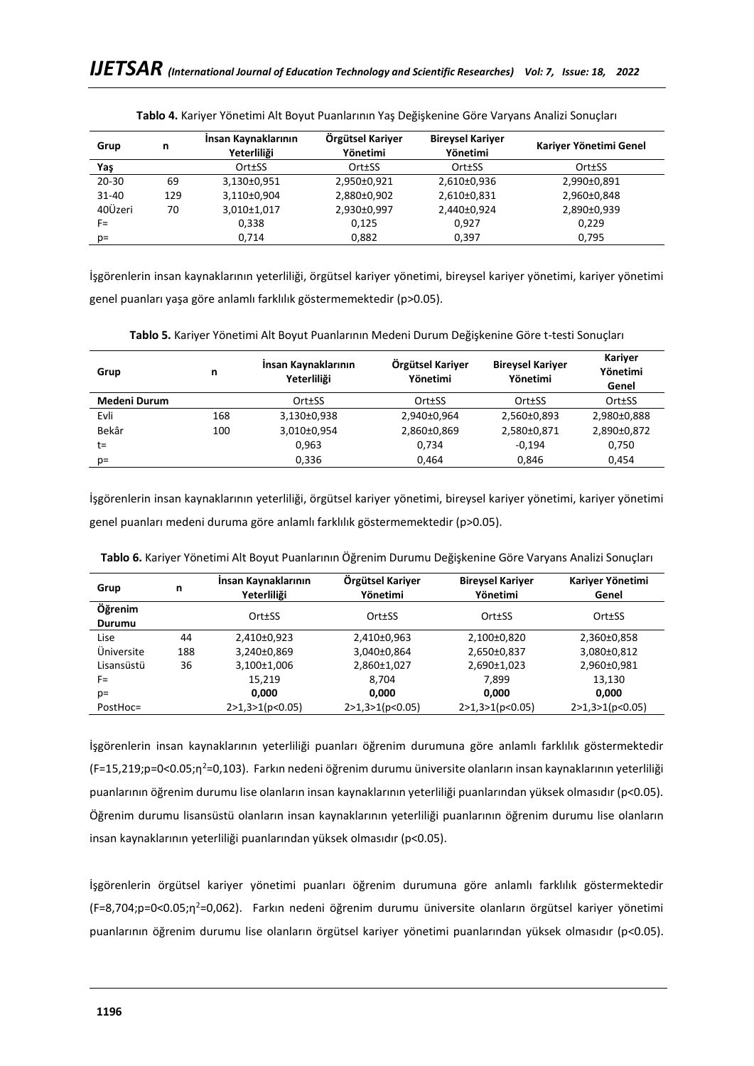| Grup      | n   | Insan Kaynaklarının<br>Yeterliliği | Örgütsel Kariyer<br>Yönetimi | <b>Bireysel Kariyer</b><br>Yönetimi | Kariyer Yönetimi Genel |
|-----------|-----|------------------------------------|------------------------------|-------------------------------------|------------------------|
| Yaş       |     | Ort±SS                             | Ort±SS                       | Ort±SS                              | Ort±SS                 |
| $20 - 30$ | 69  | 3.130±0.951                        | 2,950±0,921                  | 2,610±0,936                         | 2,990±0,891            |
| $31 - 40$ | 129 | 3,110±0,904                        | 2,880±0,902                  | 2,610±0,831                         | 2,960±0,848            |
| 40Üzeri   | 70  | 3,010±1,017                        | 2,930±0,997                  | 2,440±0,924                         | 2,890±0,939            |
| F=        |     | 0,338                              | 0,125                        | 0,927                               | 0,229                  |
| $p=$      |     | 0,714                              | 0,882                        | 0,397                               | 0,795                  |

**Tablo 4.** Kariyer Yönetimi Alt Boyut Puanlarının Yaş Değişkenine Göre Varyans Analizi Sonuçları

İşgörenlerin insan kaynaklarının yeterliliği, örgütsel kariyer yönetimi, bireysel kariyer yönetimi, kariyer yönetimi genel puanları yaşa göre anlamlı farklılık göstermemektedir (p>0.05).

| Grup                | n   | Insan Kaynaklarının<br>Yeterliliği | Örgütsel Kariyer<br>Yönetimi | <b>Bireysel Kariyer</b><br>Yönetimi | Kariyer<br>Yönetimi<br>Genel |
|---------------------|-----|------------------------------------|------------------------------|-------------------------------------|------------------------------|
| <b>Medeni Durum</b> |     | Ort±SS                             | Ort±SS                       | Ort±SS                              | Ort±SS                       |
| Evli                | 168 | 3,130±0,938                        | 2,940±0,964                  | 2,560±0,893                         | 2,980±0,888                  |
| Bekâr               | 100 | 3,010±0,954                        | 2,860±0,869                  | 2,580±0,871                         | 2,890±0,872                  |
| t=                  |     | 0,963                              | 0,734                        | $-0.194$                            | 0,750                        |
| $p=$                |     | 0.336                              | 0.464                        | 0.846                               | 0.454                        |

**Tablo 5.** Kariyer Yönetimi Alt Boyut Puanlarının Medeni Durum Değişkenine Göre t-testi Sonuçları

İşgörenlerin insan kaynaklarının yeterliliği, örgütsel kariyer yönetimi, bireysel kariyer yönetimi, kariyer yönetimi genel puanları medeni duruma göre anlamlı farklılık göstermemektedir (p>0.05).

| Grup              | n   | Insan Kaynaklarının<br>Yeterliliği | Örgütsel Kariyer<br>Yönetimi | <b>Bireysel Kariyer</b><br>Yönetimi | Kariyer Yönetimi<br>Genel |
|-------------------|-----|------------------------------------|------------------------------|-------------------------------------|---------------------------|
| Öğrenim<br>Durumu |     | Ort±SS                             | Ort±SS                       | Ort±SS                              | Ort±SS                    |
| Lise              | 44  | 2,410±0,923                        | 2,410±0,963                  | 2,100±0,820                         | 2,360±0,858               |
| Üniversite        | 188 | 3,240±0,869                        | 3,040±0,864                  | 2,650±0,837                         | 3,080±0,812               |
| Lisansüstü        | 36  | 3,100±1,006                        | 2,860±1,027                  | 2,690±1,023                         | 2,960±0,981               |
| $F =$             |     | 15,219                             | 8.704                        | 7.899                               | 13.130                    |
| $p=$              |     | 0.000                              | 0,000                        | 0,000                               | 0,000                     |
| PostHoc=          |     | 2>1,3>1(p<0.05)                    | 2>1,3>1(p<0.05)              | 2>1,3>1(p<0.05)                     | 2>1,3>1(p<0.05)           |

**Tablo 6.** Kariyer Yönetimi Alt Boyut Puanlarının Öğrenim Durumu Değişkenine Göre Varyans Analizi Sonuçları

İşgörenlerin insan kaynaklarının yeterliliği puanları öğrenim durumuna göre anlamlı farklılık göstermektedir (F=15,219;p=0<0.05;η<sup>2</sup>=0,103). Farkın nedeni öğrenim durumu üniversite olanların insan kaynaklarının yeterliliği puanlarının öğrenim durumu lise olanların insan kaynaklarının yeterliliği puanlarından yüksek olmasıdır (p<0.05). Öğrenim durumu lisansüstü olanların insan kaynaklarının yeterliliği puanlarının öğrenim durumu lise olanların insan kaynaklarının yeterliliği puanlarından yüksek olmasıdır (p<0.05).

İşgörenlerin örgütsel kariyer yönetimi puanları öğrenim durumuna göre anlamlı farklılık göstermektedir (F=8,704;p=0<0.05;η<sup>2</sup>=0,062). Farkın nedeni öğrenim durumu üniversite olanların örgütsel kariyer yönetimi puanlarının öğrenim durumu lise olanların örgütsel kariyer yönetimi puanlarından yüksek olmasıdır (p<0.05).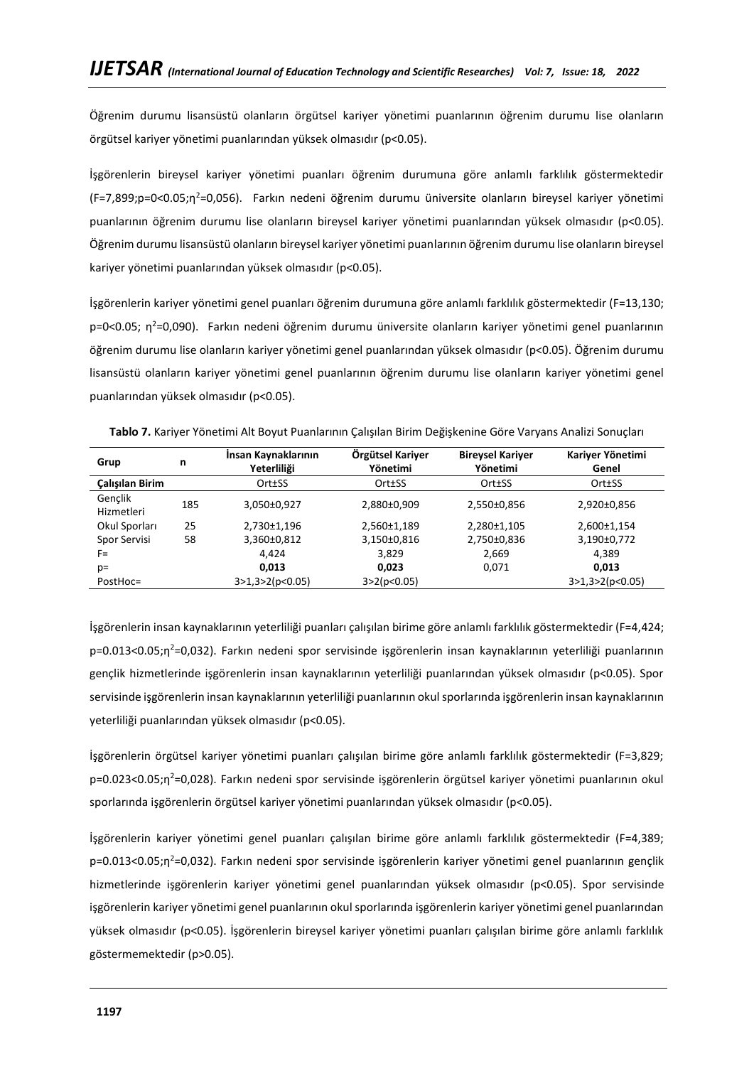Öğrenim durumu lisansüstü olanların örgütsel kariyer yönetimi puanlarının öğrenim durumu lise olanların örgütsel kariyer yönetimi puanlarından yüksek olmasıdır (p<0.05).

İşgörenlerin bireysel kariyer yönetimi puanları öğrenim durumuna göre anlamlı farklılık göstermektedir (F=7,899;p=0<0.05;η<sup>2</sup>=0,056). Farkın nedeni öğrenim durumu üniversite olanların bireysel kariyer yönetimi puanlarının öğrenim durumu lise olanların bireysel kariyer yönetimi puanlarından yüksek olmasıdır (p<0.05). Öğrenim durumu lisansüstü olanların bireysel kariyer yönetimi puanlarının öğrenim durumu lise olanların bireysel kariyer yönetimi puanlarından yüksek olmasıdır (p<0.05).

İşgörenlerin kariyer yönetimi genel puanları öğrenim durumuna göre anlamlı farklılık göstermektedir (F=13,130; p=0<0.05; η<sup>2</sup>=0,090). Farkın nedeni öğrenim durumu üniversite olanların kariyer yönetimi genel puanlarının öğrenim durumu lise olanların kariyer yönetimi genel puanlarından yüksek olmasıdır (p<0.05). Öğrenim durumu lisansüstü olanların kariyer yönetimi genel puanlarının öğrenim durumu lise olanların kariyer yönetimi genel puanlarından yüksek olmasıdır (p<0.05).

| Grup                   | n   | Insan Kaynaklarının<br>Yeterliliği | Örgütsel Kariyer<br>Yönetimi | <b>Bireysel Kariyer</b><br>Yönetimi | Kariyer Yönetimi<br>Genel |
|------------------------|-----|------------------------------------|------------------------------|-------------------------------------|---------------------------|
| <b>Calışılan Birim</b> |     | Ort±SS                             | Ort±SS                       | Ort±SS                              | Ort±SS                    |
| Genclik<br>Hizmetleri  | 185 | 3,050±0,927                        | 2,880±0,909                  | 2,550±0,856                         | 2,920±0,856               |
| Okul Sporları          | 25  | 2.730±1.196                        | 2,560±1,189                  | 2,280±1,105                         | 2,600±1,154               |
| Spor Servisi           | 58  | 3,360±0,812                        | 3,150±0,816                  | 2,750±0,836                         | 3,190±0,772               |
| F=                     |     | 4.424                              | 3,829                        | 2,669                               | 4,389                     |
| $p=$                   |     | 0,013                              | 0.023                        | 0,071                               | 0,013                     |
| PostHoc=               |     | 3>1,3>2(p<0.05)                    | 3 > 2(p < 0.05)              |                                     | 3>1,3>2(p<0.05)           |

**Tablo 7.** Kariyer Yönetimi Alt Boyut Puanlarının Çalışılan Birim Değişkenine Göre Varyans Analizi Sonuçları

İşgörenlerin insan kaynaklarının yeterliliği puanları çalışılan birime göre anlamlı farklılık göstermektedir (F=4,424; p=0.013<0.05;n<sup>2</sup>=0,032). Farkın nedeni spor servisinde işgörenlerin insan kaynaklarının yeterliliği puanlarının gençlik hizmetlerinde işgörenlerin insan kaynaklarının yeterliliği puanlarından yüksek olmasıdır (p<0.05). Spor servisinde işgörenlerin insan kaynaklarının yeterliliği puanlarının okul sporlarında işgörenlerin insan kaynaklarının yeterliliği puanlarından yüksek olmasıdır (p<0.05).

İşgörenlerin örgütsel kariyer yönetimi puanları çalışılan birime göre anlamlı farklılık göstermektedir (F=3,829; p=0.023<0.05;η<sup>2</sup>=0,028). Farkın nedeni spor servisinde işgörenlerin örgütsel kariyer yönetimi puanlarının okul sporlarında işgörenlerin örgütsel kariyer yönetimi puanlarından yüksek olmasıdır (p<0.05).

İşgörenlerin kariyer yönetimi genel puanları çalışılan birime göre anlamlı farklılık göstermektedir (F=4,389; p=0.013<0.05;η<sup>2</sup>=0,032). Farkın nedeni spor servisinde işgörenlerin kariyer yönetimi genel puanlarının gençlik hizmetlerinde işgörenlerin kariyer yönetimi genel puanlarından yüksek olmasıdır (p<0.05). Spor servisinde işgörenlerin kariyer yönetimi genel puanlarının okul sporlarında işgörenlerin kariyer yönetimi genel puanlarından yüksek olmasıdır (p<0.05). İşgörenlerin bireysel kariyer yönetimi puanları çalışılan birime göre anlamlı farklılık göstermemektedir (p>0.05).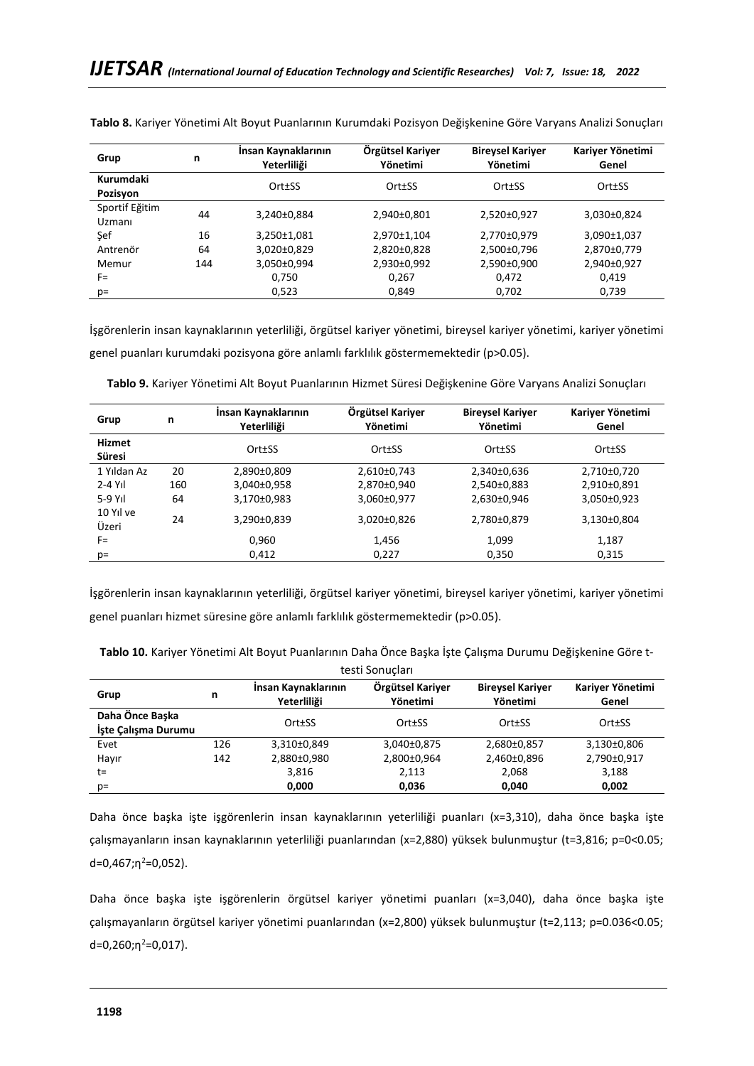| Grup                     | n   | Insan Kaynaklarının<br>Yeterliliği | Örgütsel Kariyer<br>Yönetimi | <b>Bireysel Kariyer</b><br>Yönetimi | Kariyer Yönetimi<br>Genel |
|--------------------------|-----|------------------------------------|------------------------------|-------------------------------------|---------------------------|
| Kurumdaki<br>Pozisyon    |     | Ort±SS                             | Ort±SS                       | Ort±SS                              | Ort±SS                    |
| Sportif Eğitim<br>Uzmanı | 44  | 3,240±0,884                        | 2,940±0,801                  | 2,520±0,927                         | 3,030±0,824               |
| Sef                      | 16  | 3,250±1,081                        | 2,970±1,104                  | 2,770±0,979                         | 3,090±1,037               |
| Antrenör                 | 64  | 3,020±0,829                        | 2,820±0,828                  | 2,500±0,796                         | 2,870±0,779               |
| Memur                    | 144 | 3,050±0,994                        | 2,930±0,992                  | 2,590±0,900                         | 2,940±0,927               |
| $F =$                    |     | 0,750                              | 0,267                        | 0,472                               | 0,419                     |
| $p=$                     |     | 0,523                              | 0,849                        | 0,702                               | 0,739                     |

**Tablo 8.** Kariyer Yönetimi Alt Boyut Puanlarının Kurumdaki Pozisyon Değişkenine Göre Varyans Analizi Sonuçları

İşgörenlerin insan kaynaklarının yeterliliği, örgütsel kariyer yönetimi, bireysel kariyer yönetimi, kariyer yönetimi genel puanları kurumdaki pozisyona göre anlamlı farklılık göstermemektedir (p>0.05).

| Grup               | n   | Insan Kaynaklarının<br>Yeterliliği | Örgütsel Kariyer<br>Yönetimi | <b>Bireysel Kariyer</b><br>Yönetimi | Kariyer Yönetimi<br>Genel |
|--------------------|-----|------------------------------------|------------------------------|-------------------------------------|---------------------------|
| Hizmet<br>Süresi   |     | Ort±SS                             | Ort±SS                       | Ort±SS                              | Ort±SS                    |
| 1 Yıldan Az        | 20  | 2,890±0,809                        | 2,610±0,743                  | 2,340±0,636                         | 2,710±0,720               |
| $2-4$ Yıl          | 160 | 3,040±0,958                        | 2,870±0,940                  | 2,540±0,883                         | 2,910±0,891               |
| $5-9$ Yıl          | 64  | 3,170±0,983                        | 3,060±0,977                  | 2,630±0,946                         | 3,050±0,923               |
| 10 Yıl ve<br>Üzeri | 24  | 3,290±0,839                        | 3,020±0,826                  | 2,780±0,879                         | 3,130±0,804               |
| $F =$              |     | 0,960                              | 1,456                        | 1,099                               | 1,187                     |
| $p=$               |     | 0,412                              | 0,227                        | 0,350                               | 0,315                     |

**Tablo 9.** Kariyer Yönetimi Alt Boyut Puanlarının Hizmet Süresi Değişkenine Göre Varyans Analizi Sonuçları

İşgörenlerin insan kaynaklarının yeterliliği, örgütsel kariyer yönetimi, bireysel kariyer yönetimi, kariyer yönetimi genel puanları hizmet süresine göre anlamlı farklılık göstermemektedir (p>0.05).

| Tablo 10. Kariyer Yönetimi Alt Boyut Puanlarının Daha Önce Başka İşte Çalışma Durumu Değişkenine Göre t- |
|----------------------------------------------------------------------------------------------------------|
|----------------------------------------------------------------------------------------------------------|

| testi Sonucları                        |     |                                    |                              |                                     |                           |
|----------------------------------------|-----|------------------------------------|------------------------------|-------------------------------------|---------------------------|
| Grup                                   | n   | Insan Kaynaklarının<br>Yeterliliği | Örgütsel Kariyer<br>Yönetimi | <b>Bireysel Kariver</b><br>Yönetimi | Kariyer Yönetimi<br>Genel |
| Daha Önce Başka<br>İşte Çalışma Durumu |     | Ort±SS                             | Ort±SS                       | Ort±SS                              | Ort±SS                    |
| Evet                                   | 126 | 3,310±0,849                        | 3,040±0,875                  | 2,680±0,857                         | 3,130±0,806               |
| Hayır                                  | 142 | 2,880±0,980                        | 2,800±0,964                  | 2,460±0,896                         | 2,790±0,917               |
| t=                                     |     | 3,816                              | 2,113                        | 2,068                               | 3,188                     |
| $p=$                                   |     | 0,000                              | 0,036                        | 0.040                               | 0,002                     |

Daha önce başka işte işgörenlerin insan kaynaklarının yeterliliği puanları (x=3,310), daha önce başka işte çalışmayanların insan kaynaklarının yeterliliği puanlarından (x=2,880) yüksek bulunmuştur (t=3,816; p=0<0.05;  $d=0,467; \eta^2=0,052$ ).

Daha önce başka işte işgörenlerin örgütsel kariyer yönetimi puanları (x=3,040), daha önce başka işte çalışmayanların örgütsel kariyer yönetimi puanlarından (x=2,800) yüksek bulunmuştur (t=2,113; p=0.036<0.05;  $d=0,260; \eta^2=0,017$ ).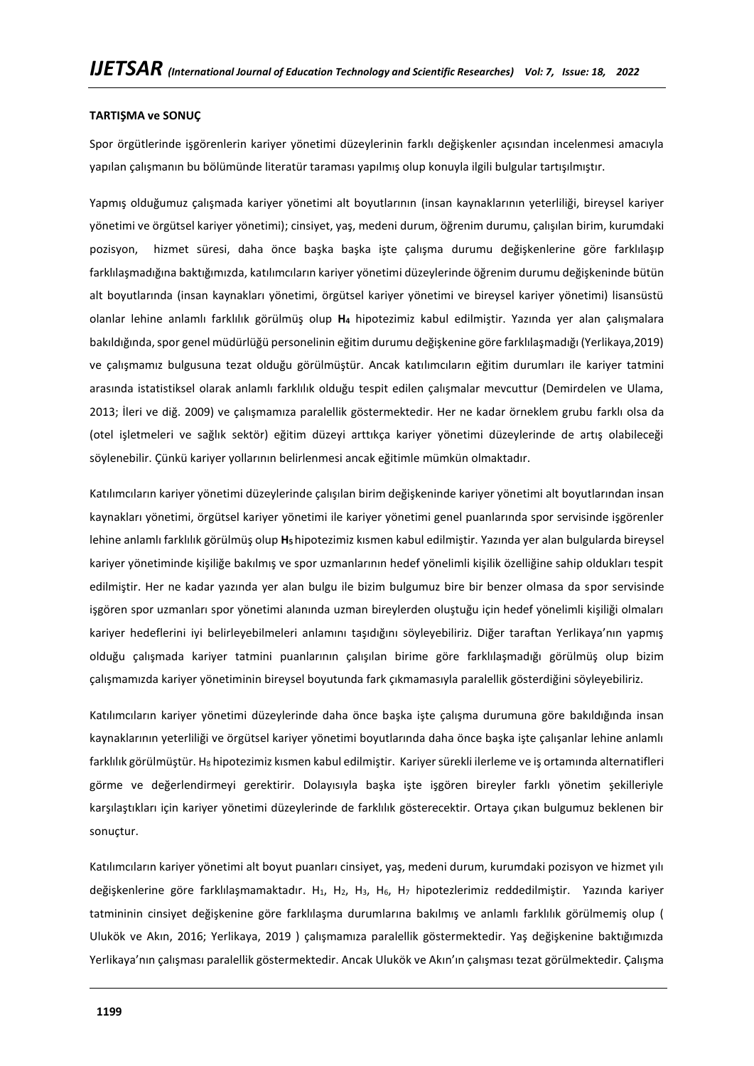### **TARTIŞMA ve SONUÇ**

Spor örgütlerinde işgörenlerin kariyer yönetimi düzeylerinin farklı değişkenler açısından incelenmesi amacıyla yapılan çalışmanın bu bölümünde literatür taraması yapılmış olup konuyla ilgili bulgular tartışılmıştır.

Yapmış olduğumuz çalışmada kariyer yönetimi alt boyutlarının (insan kaynaklarının yeterliliği, bireysel kariyer yönetimi ve örgütsel kariyer yönetimi); cinsiyet, yaş, medeni durum, öğrenim durumu, çalışılan birim, kurumdaki pozisyon, hizmet süresi, daha önce başka başka işte çalışma durumu değişkenlerine göre farklılaşıp farklılaşmadığına baktığımızda, katılımcıların kariyer yönetimi düzeylerinde öğrenim durumu değişkeninde bütün alt boyutlarında (insan kaynakları yönetimi, örgütsel kariyer yönetimi ve bireysel kariyer yönetimi) lisansüstü olanlar lehine anlamlı farklılık görülmüş olup **H<sup>4</sup>** hipotezimiz kabul edilmiştir. Yazında yer alan çalışmalara bakıldığında, spor genel müdürlüğü personelinin eğitim durumu değişkenine göre farklılaşmadığı (Yerlikaya,2019) ve çalışmamız bulgusuna tezat olduğu görülmüştür. Ancak katılımcıların eğitim durumları ile kariyer tatmini arasında istatistiksel olarak anlamlı farklılık olduğu tespit edilen çalışmalar mevcuttur (Demirdelen ve Ulama, 2013; İleri ve diğ. 2009) ve çalışmamıza paralellik göstermektedir. Her ne kadar örneklem grubu farklı olsa da (otel işletmeleri ve sağlık sektör) eğitim düzeyi arttıkça kariyer yönetimi düzeylerinde de artış olabileceği söylenebilir. Çünkü kariyer yollarının belirlenmesi ancak eğitimle mümkün olmaktadır.

Katılımcıların kariyer yönetimi düzeylerinde çalışılan birim değişkeninde kariyer yönetimi alt boyutlarından insan kaynakları yönetimi, örgütsel kariyer yönetimi ile kariyer yönetimi genel puanlarında spor servisinde işgörenler lehine anlamlı farklılık görülmüş olup **H5**hipotezimiz kısmen kabul edilmiştir. Yazında yer alan bulgularda bireysel kariyer yönetiminde kişiliğe bakılmış ve spor uzmanlarının hedef yönelimli kişilik özelliğine sahip oldukları tespit edilmiştir. Her ne kadar yazında yer alan bulgu ile bizim bulgumuz bire bir benzer olmasa da spor servisinde işgören spor uzmanları spor yönetimi alanında uzman bireylerden oluştuğu için hedef yönelimli kişiliği olmaları kariyer hedeflerini iyi belirleyebilmeleri anlamını taşıdığını söyleyebiliriz. Diğer taraftan Yerlikaya'nın yapmış olduğu çalışmada kariyer tatmini puanlarının çalışılan birime göre farklılaşmadığı görülmüş olup bizim çalışmamızda kariyer yönetiminin bireysel boyutunda fark çıkmamasıyla paralellik gösterdiğini söyleyebiliriz.

Katılımcıların kariyer yönetimi düzeylerinde daha önce başka işte çalışma durumuna göre bakıldığında insan kaynaklarının yeterliliği ve örgütsel kariyer yönetimi boyutlarında daha önce başka işte çalışanlar lehine anlamlı farklılık görülmüştür. H8 hipotezimiz kısmen kabul edilmiştir. Kariyer sürekli ilerleme ve iş ortamında alternatifleri görme ve değerlendirmeyi gerektirir. Dolayısıyla başka işte işgören bireyler farklı yönetim şekilleriyle karşılaştıkları için kariyer yönetimi düzeylerinde de farklılık gösterecektir. Ortaya çıkan bulgumuz beklenen bir sonuçtur.

Katılımcıların kariyer yönetimi alt boyut puanları cinsiyet, yaş, medeni durum, kurumdaki pozisyon ve hizmet yılı değişkenlerine göre farklılaşmamaktadır. H<sub>1</sub>, H<sub>2</sub>, H<sub>3</sub>, H<sub>5</sub>, H<sub>7</sub> hipotezlerimiz reddedilmiştir. Yazında kariyer tatmininin cinsiyet değişkenine göre farklılaşma durumlarına bakılmış ve anlamlı farklılık görülmemiş olup ( Ulukök ve Akın, 2016; Yerlikaya, 2019 ) çalışmamıza paralellik göstermektedir. Yaş değişkenine baktığımızda Yerlikaya'nın çalışması paralellik göstermektedir. Ancak Ulukök ve Akın'ın çalışması tezat görülmektedir. Çalışma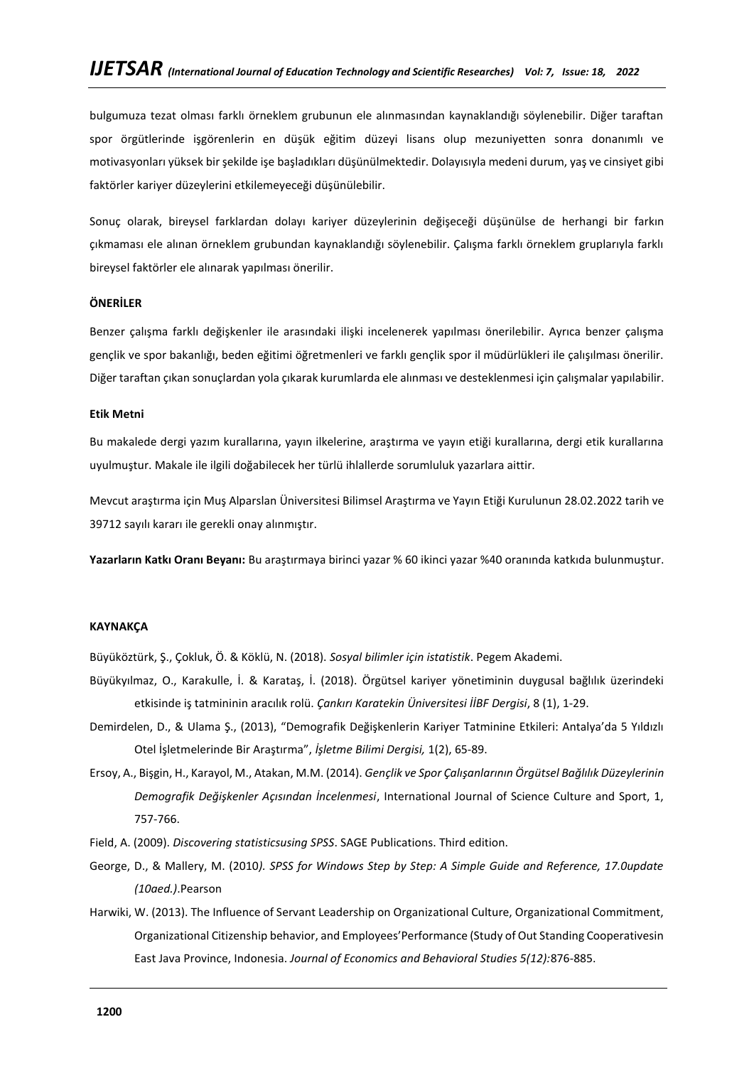bulgumuza tezat olması farklı örneklem grubunun ele alınmasından kaynaklandığı söylenebilir. Diğer taraftan spor örgütlerinde işgörenlerin en düşük eğitim düzeyi lisans olup mezuniyetten sonra donanımlı ve motivasyonları yüksek bir şekilde işe başladıkları düşünülmektedir. Dolayısıyla medeni durum, yaş ve cinsiyet gibi faktörler kariyer düzeylerini etkilemeyeceği düşünülebilir.

Sonuç olarak, bireysel farklardan dolayı kariyer düzeylerinin değişeceği düşünülse de herhangi bir farkın çıkmaması ele alınan örneklem grubundan kaynaklandığı söylenebilir. Çalışma farklı örneklem gruplarıyla farklı bireysel faktörler ele alınarak yapılması önerilir.

## **ÖNERİLER**

Benzer çalışma farklı değişkenler ile arasındaki ilişki incelenerek yapılması önerilebilir. Ayrıca benzer çalışma gençlik ve spor bakanlığı, beden eğitimi öğretmenleri ve farklı gençlik spor il müdürlükleri ile çalışılması önerilir. Diğer taraftan çıkan sonuçlardan yola çıkarak kurumlarda ele alınması ve desteklenmesi için çalışmalar yapılabilir.

### **Etik Metni**

Bu makalede dergi yazım kurallarına, yayın ilkelerine, araştırma ve yayın etiği kurallarına, dergi etik kurallarına uyulmuştur. Makale ile ilgili doğabilecek her türlü ihlallerde sorumluluk yazarlara aittir.

Mevcut araştırma için Muş Alparslan Üniversitesi Bilimsel Araştırma ve Yayın Etiği Kurulunun 28.02.2022 tarih ve 39712 sayılı kararı ile gerekli onay alınmıştır.

**Yazarların Katkı Oranı Beyanı:** Bu araştırmaya birinci yazar % 60 ikinci yazar %40 oranında katkıda bulunmuştur.

### **KAYNAKÇA**

Büyüköztürk, Ş., Çokluk, Ö. & Köklü, N. (2018). *Sosyal bilimler için istatistik*. Pegem Akademi.

- Büyükyılmaz, O., Karakulle, İ. & Karataş, İ. (2018). Örgütsel kariyer yönetiminin duygusal bağlılık üzerindeki etkisinde iş tatmininin aracılık rolü. *Çankırı Karatekin Üniversitesi İİBF Dergisi*, 8 (1), 1-29.
- Demirdelen, D., & Ulama Ş., (2013), "Demografik Değişkenlerin Kariyer Tatminine Etkileri: Antalya'da 5 Yıldızlı Otel İşletmelerinde Bir Araştırma", *İşletme Bilimi Dergisi,* 1(2), 65-89.
- Ersoy, A., Bişgin, H., Karayol, M., Atakan, M.M. (2014). *Gençlik ve Spor Çalışanlarının Örgütsel Bağlılık Düzeylerinin Demografik Değişkenler Açısından İncelenmesi*, International Journal of Science Culture and Sport, 1, 757-766.
- Field, A. (2009). *Discovering statisticsusing SPSS*. SAGE Publications. Third edition.
- George, D., & Mallery, M. (2010*). SPSS for Windows Step by Step: A Simple Guide and Reference, 17.0update (10aed.)*.Pearson
- Harwiki, W. (2013). The Influence of Servant Leadership on Organizational Culture, Organizational Commitment, Organizational Citizenship behavior, and Employees'Performance (Study of Out Standing Cooperativesin East Java Province, Indonesia. *Journal of Economics and Behavioral Studies 5(12):*876-885.